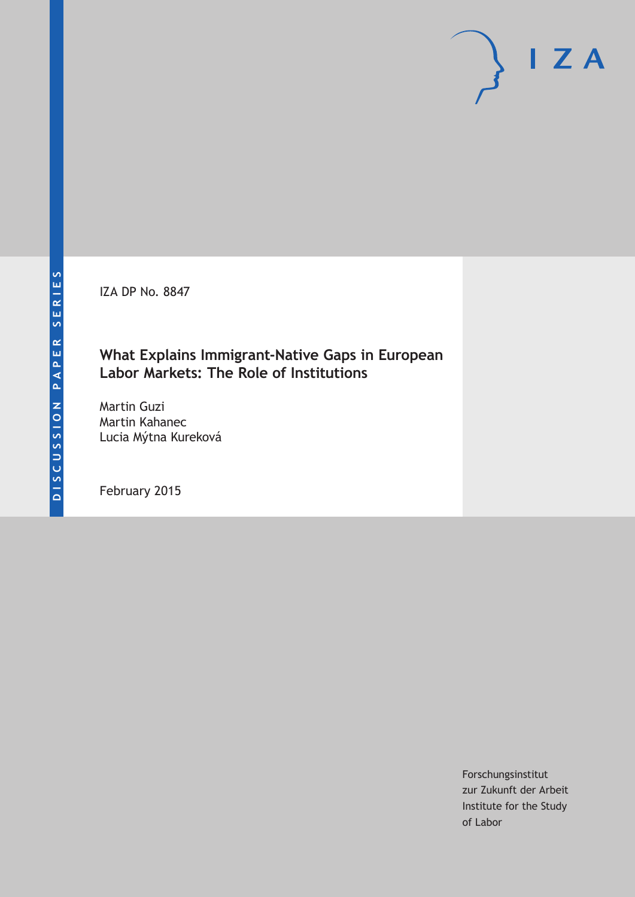IZA DP No. 8847

### **What Explains Immigrant-Native Gaps in European Labor Markets: The Role of Institutions**

Martin Guzi Martin Kahanec Lucia Mýtna Kureková

February 2015

Forschungsinstitut zur Zukunft der Arbeit Institute for the Study of Labor

 $I Z A$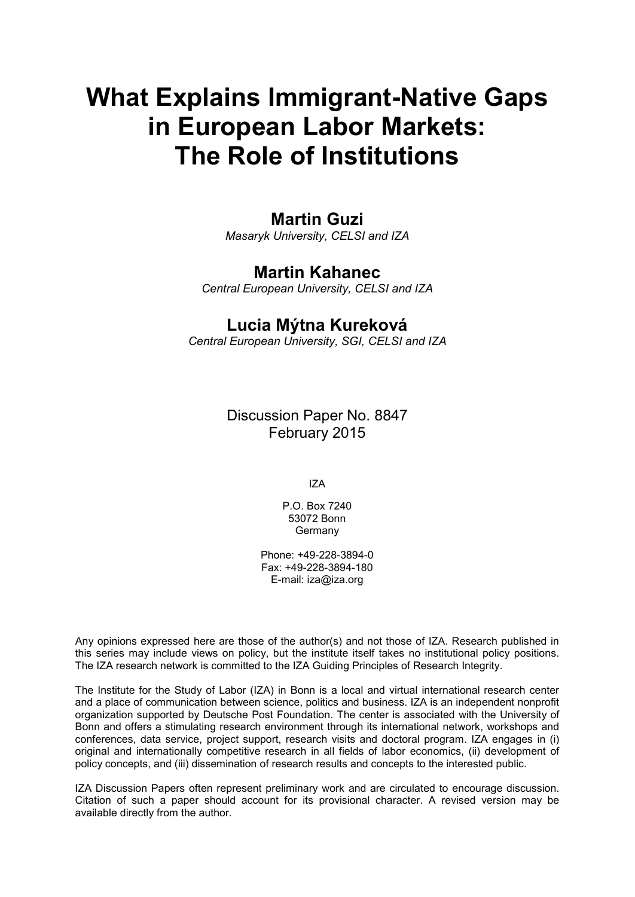# **What Explains Immigrant-Native Gaps in European Labor Markets: The Role of Institutions**

### **Martin Guzi**

*Masaryk University, CELSI and IZA*

### **Martin Kahanec**

*Central European University, CELSI and IZA*

### **Lucia Mýtna Kureková**

*Central European University, SGI, CELSI and IZA*

Discussion Paper No. 8847 February 2015

IZA

P.O. Box 7240 53072 Bonn Germany

Phone: +49-228-3894-0 Fax: +49-228-3894-180 E-mail: [iza@iza.org](mailto:iza@iza.org)

Any opinions expressed here are those of the author(s) and not those of IZA. Research published in this series may include views on policy, but the institute itself takes no institutional policy positions. The IZA research network is committed to the IZA Guiding Principles of Research Integrity.

The Institute for the Study of Labor (IZA) in Bonn is a local and virtual international research center and a place of communication between science, politics and business. IZA is an independent nonprofit organization supported by Deutsche Post Foundation. The center is associated with the University of Bonn and offers a stimulating research environment through its international network, workshops and conferences, data service, project support, research visits and doctoral program. IZA engages in (i) original and internationally competitive research in all fields of labor economics, (ii) development of policy concepts, and (iii) dissemination of research results and concepts to the interested public.

IZA Discussion Papers often represent preliminary work and are circulated to encourage discussion. Citation of such a paper should account for its provisional character. A revised version may be available directly from the author.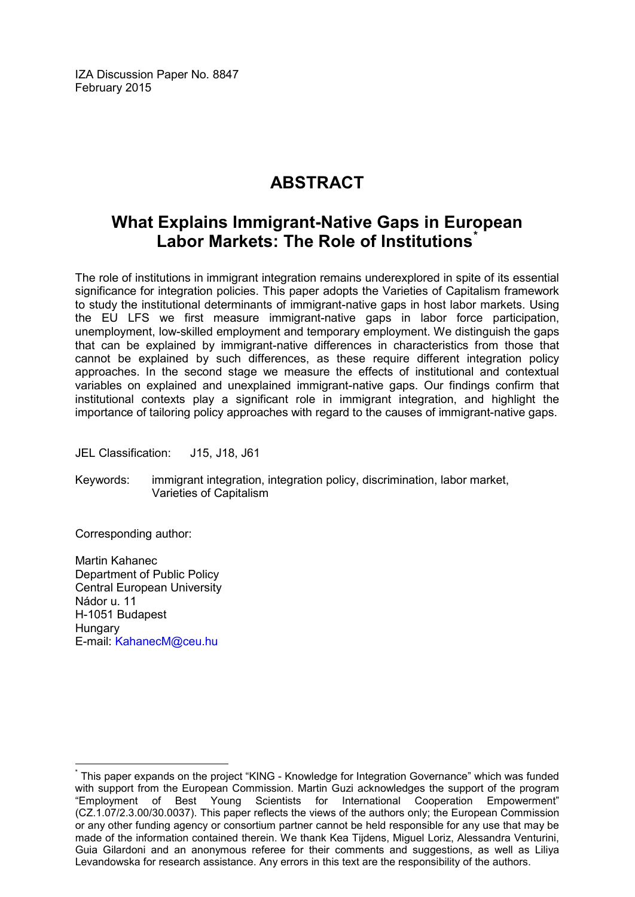IZA Discussion Paper No. 8847 February 2015

## **ABSTRACT**

### **What Explains Immigrant-Native Gaps in European Labor Markets: The Role of Institutions[\\*](#page-2-0)**

The role of institutions in immigrant integration remains underexplored in spite of its essential significance for integration policies. This paper adopts the Varieties of Capitalism framework to study the institutional determinants of immigrant-native gaps in host labor markets. Using the EU LFS we first measure immigrant-native gaps in labor force participation, unemployment, low-skilled employment and temporary employment. We distinguish the gaps that can be explained by immigrant-native differences in characteristics from those that cannot be explained by such differences, as these require different integration policy approaches. In the second stage we measure the effects of institutional and contextual variables on explained and unexplained immigrant-native gaps. Our findings confirm that institutional contexts play a significant role in immigrant integration, and highlight the importance of tailoring policy approaches with regard to the causes of immigrant-native gaps.

JEL Classification: J15, J18, J61

Keywords: immigrant integration, integration policy, discrimination, labor market, Varieties of Capitalism

Corresponding author:

Martin Kahanec Department of Public Policy Central European University Nádor u. 11 H-1051 Budapest **Hungary** E-mail: [KahanecM@ceu.hu](mailto:KahanecM@ceu.hu)

<span id="page-2-0"></span>This paper expands on the project "KING - Knowledge for Integration Governance" which was funded with support from the European Commission. Martin Guzi acknowledges the support of the program "Employment of Best Young Scientists for International Cooperation Empowerment" (CZ.1.07/2.3.00/30.0037). This paper reflects the views of the authors only; the European Commission or any other funding agency or consortium partner cannot be held responsible for any use that may be made of the information contained therein. We thank Kea Tijdens, Miguel Loriz, Alessandra Venturini, Guia Gilardoni and an anonymous referee for their comments and suggestions, as well as Liliya Levandowska for research assistance. Any errors in this text are the responsibility of the authors.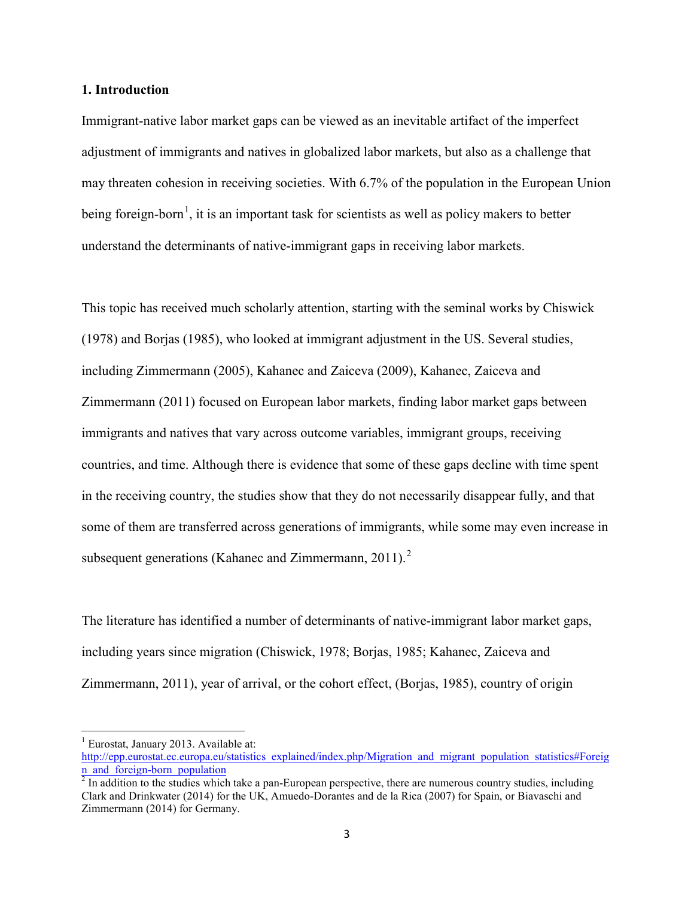#### **1. Introduction**

Immigrant-native labor market gaps can be viewed as an inevitable artifact of the imperfect adjustment of immigrants and natives in globalized labor markets, but also as a challenge that may threaten cohesion in receiving societies. With 6.7% of the population in the European Union being foreign-born<sup>1</sup>, it is an important task for scientists as well as policy makers to better understand the determinants of native-immigrant gaps in receiving labor markets.

This topic has received much scholarly attention, starting with the seminal works by Chiswick (1978) and Borjas (1985), who looked at immigrant adjustment in the US. Several studies, including Zimmermann (2005), Kahanec and Zaiceva (2009), Kahanec, Zaiceva and Zimmermann (2011) focused on European labor markets, finding labor market gaps between immigrants and natives that vary across outcome variables, immigrant groups, receiving countries, and time. Although there is evidence that some of these gaps decline with time spent in the receiving country, the studies show that they do not necessarily disappear fully, and that some of them are transferred across generations of immigrants, while some may even increase in subsequent generations (Kahanec and Zimmermann,  $2011$  $2011$ ).<sup>2</sup>

The literature has identified a number of determinants of native-immigrant labor market gaps, including years since migration (Chiswick, 1978; Borjas, 1985; Kahanec, Zaiceva and Zimmermann, 2011), year of arrival, or the cohort effect, (Borjas, 1985), country of origin

 $1$  Eurostat, January 2013. Available at:

[http://epp.eurostat.ec.europa.eu/statistics\\_explained/index.php/Migration\\_and\\_migrant\\_population\\_statistics#Foreig](http://epp.eurostat.ec.europa.eu/statistics_explained/index.php/Migration_and_migrant_population_statistics#Foreign_and_foreign-born_population)<br>n and foreign-born population

<span id="page-3-1"></span><span id="page-3-0"></span> $\frac{1}{2}$  In addition to the studies which take a pan-European perspective, there are numerous country studies, including Clark and Drinkwater (2014) for the UK, Amuedo-Dorantes and de la Rica (2007) for Spain, or Biavaschi and Zimmermann (2014) for Germany.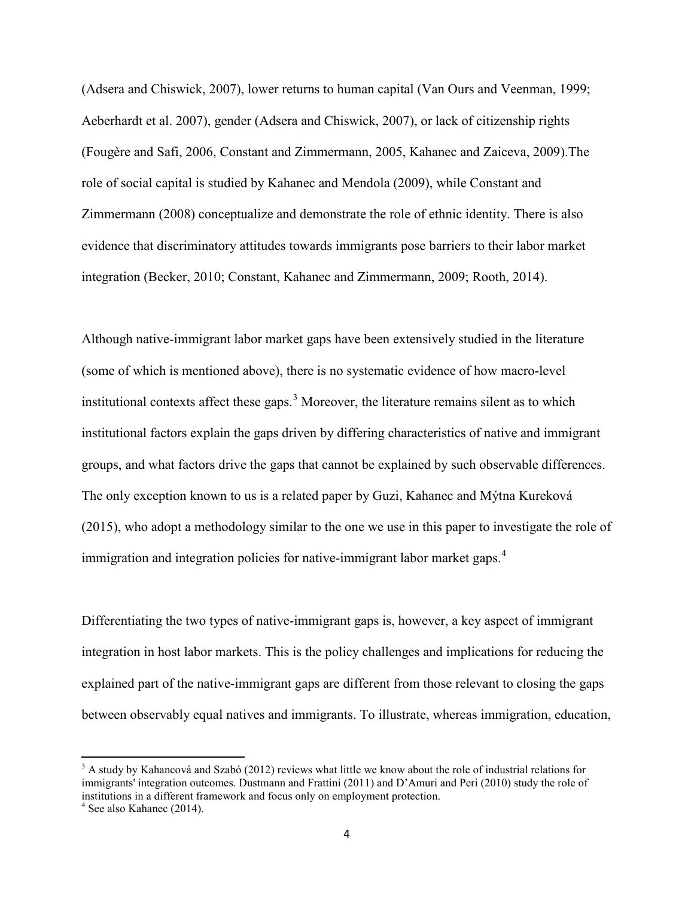(Adsera and Chiswick, 2007), lower returns to human capital (Van Ours and Veenman, 1999; Aeberhardt et al. 2007), gender (Adsera and Chiswick, 2007), or lack of citizenship rights (Fougère and Safi, 2006, Constant and Zimmermann, 2005, Kahanec and Zaiceva, 2009).The role of social capital is studied by Kahanec and Mendola (2009), while Constant and Zimmermann (2008) conceptualize and demonstrate the role of ethnic identity. There is also evidence that discriminatory attitudes towards immigrants pose barriers to their labor market integration (Becker, 2010; Constant, Kahanec and Zimmermann, 2009; Rooth, 2014).

Although native-immigrant labor market gaps have been extensively studied in the literature (some of which is mentioned above), there is no systematic evidence of how macro-level institutional contexts affect these gaps.<sup>[3](#page-3-1)</sup> Moreover, the literature remains silent as to which institutional factors explain the gaps driven by differing characteristics of native and immigrant groups, and what factors drive the gaps that cannot be explained by such observable differences. The only exception known to us is a related paper by Guzi, Kahanec and Mýtna Kureková (2015), who adopt a methodology similar to the one we use in this paper to investigate the role of immigration and integration policies for native-immigrant labor market gaps.<sup>[4](#page-4-0)</sup>

Differentiating the two types of native-immigrant gaps is, however, a key aspect of immigrant integration in host labor markets. This is the policy challenges and implications for reducing the explained part of the native-immigrant gaps are different from those relevant to closing the gaps between observably equal natives and immigrants. To illustrate, whereas immigration, education,

<span id="page-4-1"></span><sup>&</sup>lt;sup>3</sup> A study by Kahancová and Szabó (2012) reviews what little we know about the role of industrial relations for immigrants' integration outcomes. Dustmann and Frattini (2011) and D'Amuri and Peri (2010) study the role of institutions in a different framework and focus only on employment protection. <sup>4</sup> See also Kahanec (2014).

<span id="page-4-0"></span>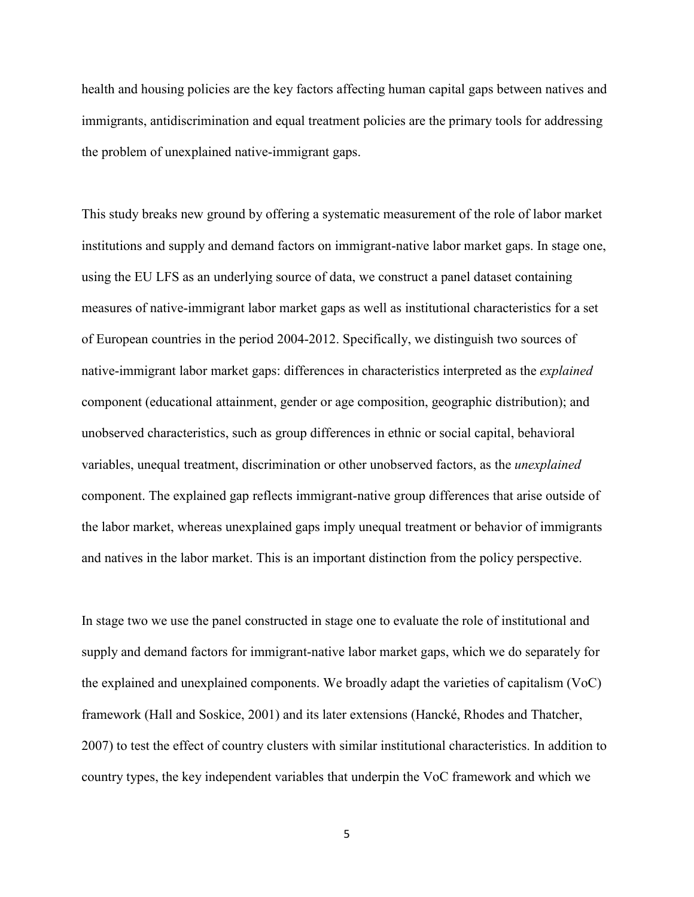health and housing policies are the key factors affecting human capital gaps between natives and immigrants, antidiscrimination and equal treatment policies are the primary tools for addressing the problem of unexplained native-immigrant gaps.

This study breaks new ground by offering a systematic measurement of the role of labor market institutions and supply and demand factors on immigrant-native labor market gaps. In stage one, using the EU LFS as an underlying source of data, we construct a panel dataset containing measures of native-immigrant labor market gaps as well as institutional characteristics for a set of European countries in the period 2004-2012. Specifically, we distinguish two sources of native-immigrant labor market gaps: differences in characteristics interpreted as the *explained* component (educational attainment, gender or age composition, geographic distribution); and unobserved characteristics, such as group differences in ethnic or social capital, behavioral variables, unequal treatment, discrimination or other unobserved factors, as the *unexplained*  component. The explained gap reflects immigrant-native group differences that arise outside of the labor market, whereas unexplained gaps imply unequal treatment or behavior of immigrants and natives in the labor market. This is an important distinction from the policy perspective.

In stage two we use the panel constructed in stage one to evaluate the role of institutional and supply and demand factors for immigrant-native labor market gaps, which we do separately for the explained and unexplained components. We broadly adapt the varieties of capitalism (VoC) framework (Hall and Soskice, 2001) and its later extensions (Hancké, Rhodes and Thatcher, 2007) to test the effect of country clusters with similar institutional characteristics. In addition to country types, the key independent variables that underpin the VoC framework and which we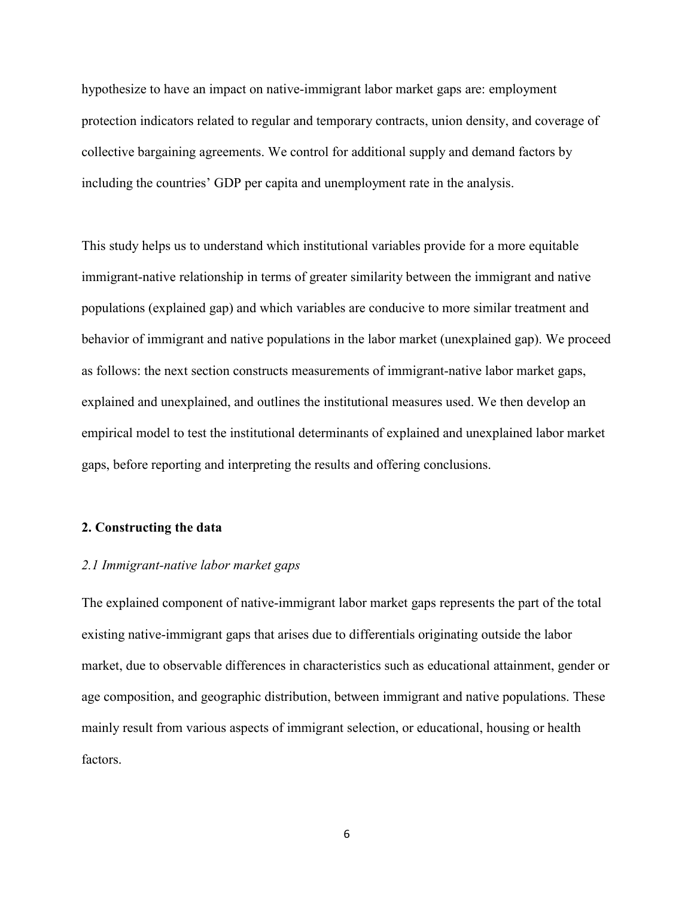hypothesize to have an impact on native-immigrant labor market gaps are: employment protection indicators related to regular and temporary contracts, union density, and coverage of collective bargaining agreements. We control for additional supply and demand factors by including the countries' GDP per capita and unemployment rate in the analysis.

This study helps us to understand which institutional variables provide for a more equitable immigrant-native relationship in terms of greater similarity between the immigrant and native populations (explained gap) and which variables are conducive to more similar treatment and behavior of immigrant and native populations in the labor market (unexplained gap). We proceed as follows: the next section constructs measurements of immigrant-native labor market gaps, explained and unexplained, and outlines the institutional measures used. We then develop an empirical model to test the institutional determinants of explained and unexplained labor market gaps, before reporting and interpreting the results and offering conclusions.

#### **2. Constructing the data**

#### *2.1 Immigrant-native labor market gaps*

The explained component of native-immigrant labor market gaps represents the part of the total existing native-immigrant gaps that arises due to differentials originating outside the labor market, due to observable differences in characteristics such as educational attainment, gender or age composition, and geographic distribution, between immigrant and native populations. These mainly result from various aspects of immigrant selection, or educational, housing or health factors.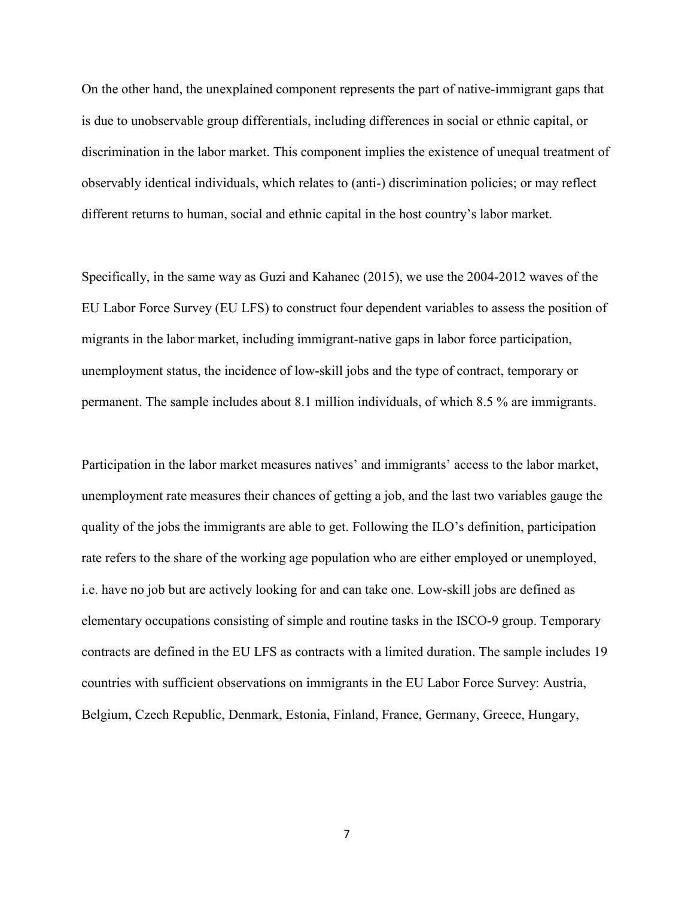On the other hand, the unexplained component represents the part of native-immigrant gaps that is due to unobservable group differentials, including differences in social or ethnic capital, or discrimination in the labor market. This component implies the existence of unequal treatment of observably identical individuals, which relates to (anti-) discrimination policies; or may reflect different returns to human, social and ethnic capital in the host country's labor market.

Specifically, in the same way as Guzi and Kahanec (2015), we use the 2004-2012 waves of the EU Labor Force Survey (EU LFS) to construct four dependent variables to assess the position of migrants in the labor market, including immigrant-native gaps in labor force participation, unemployment status, the incidence of low-skill jobs and the type of contract, temporary or permanent. The sample includes about 8.1 million individuals, of which 8.5 % are immigrants.

Participation in the labor market measures natives' and immigrants' access to the labor market, unemployment rate measures their chances of getting a job, and the last two variables gauge the quality of the jobs the immigrants are able to get. Following the ILO's definition, participation rate refers to the share of the working age population who are either employed or unemployed, i.e. have no job but are actively looking for and can take one. Low-skill jobs are defined as elementary occupations consisting of simple and routine tasks in the ISCO-9 group. Temporary contracts are defined in the EU LFS as contracts with a limited duration. The sample includes 19 countries with sufficient observations on immigrants in the EU Labor Force Survey: Austria, Belgium, Czech Republic, Denmark, Estonia, Finland, France, Germany, Greece, Hungary,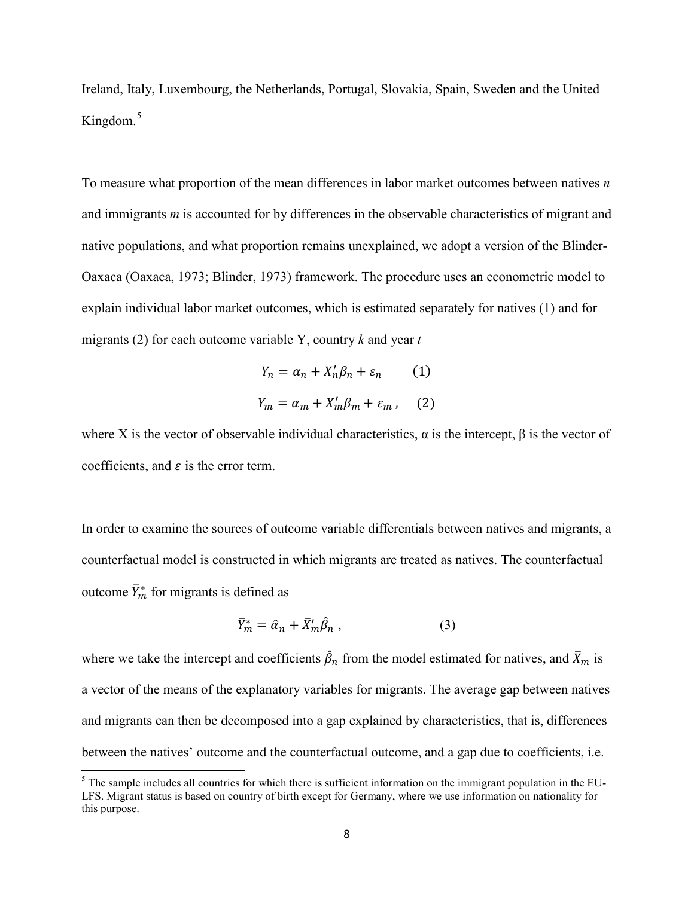Ireland, Italy, Luxembourg, the Netherlands, Portugal, Slovakia, Spain, Sweden and the United Kingdom.<sup>[5](#page-4-1)</sup>

To measure what proportion of the mean differences in labor market outcomes between natives *n* and immigrants *m* is accounted for by differences in the observable characteristics of migrant and native populations, and what proportion remains unexplained, we adopt a version of the Blinder-Oaxaca (Oaxaca, 1973; Blinder, 1973) framework. The procedure uses an econometric model to explain individual labor market outcomes, which is estimated separately for natives (1) and for migrants (2) for each outcome variable Y, country *k* and year *t*

$$
Y_n = \alpha_n + X'_n \beta_n + \varepsilon_n \qquad (1)
$$
  

$$
Y_m = \alpha_m + X'_m \beta_m + \varepsilon_m \qquad (2)
$$

where X is the vector of observable individual characteristics,  $\alpha$  is the intercept,  $\beta$  is the vector of coefficients, and  $\varepsilon$  is the error term.

In order to examine the sources of outcome variable differentials between natives and migrants, a counterfactual model is constructed in which migrants are treated as natives. The counterfactual outcome  $\overline{Y}_m^*$  for migrants is defined as

$$
\bar{Y}_m^* = \hat{\alpha}_n + \bar{X}_m' \hat{\beta}_n , \qquad (3)
$$

where we take the intercept and coefficients  $\beta_n$  from the model estimated for natives, and  $\bar{X}_m$  is a vector of the means of the explanatory variables for migrants. The average gap between natives and migrants can then be decomposed into a gap explained by characteristics, that is, differences between the natives' outcome and the counterfactual outcome, and a gap due to coefficients, i.e.

<span id="page-8-0"></span> $<sup>5</sup>$  The sample includes all countries for which there is sufficient information on the immigrant population in the EU-</sup> LFS. Migrant status is based on country of birth except for Germany, where we use information on nationality for this purpose.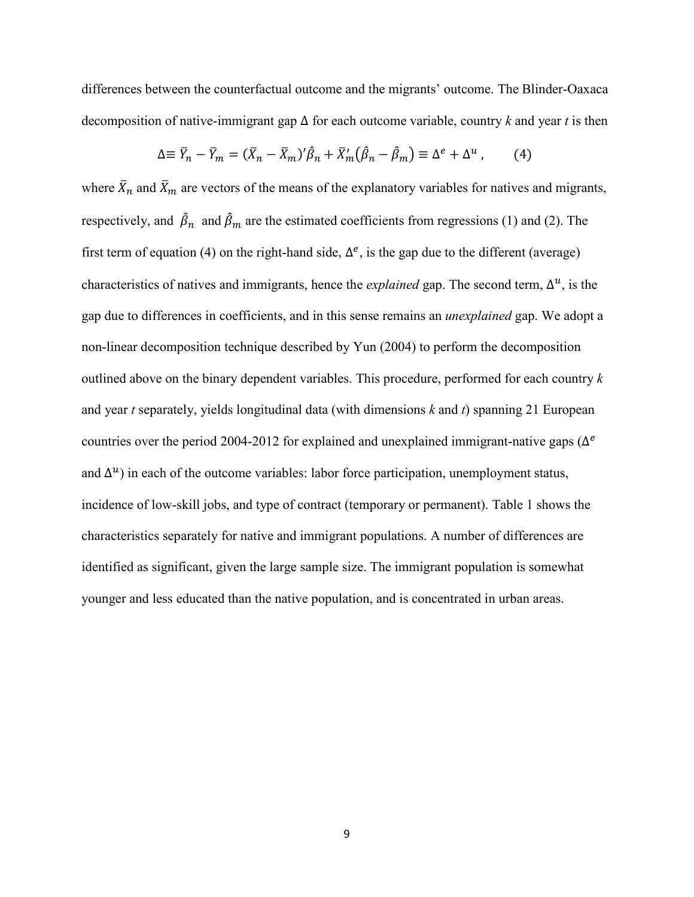differences between the counterfactual outcome and the migrants' outcome. The Blinder-Oaxaca decomposition of native-immigrant gap ∆ for each outcome variable, country *k* and year *t* is then

$$
\Delta \equiv \bar{Y}_n - \bar{Y}_m = (\bar{X}_n - \bar{X}_m)' \hat{\beta}_n + \bar{X}'_m (\hat{\beta}_n - \hat{\beta}_m) \equiv \Delta^e + \Delta^u , \qquad (4)
$$

where  $\bar{X}_n$  and  $\bar{X}_m$  are vectors of the means of the explanatory variables for natives and migrants, respectively, and  $\beta_n$  and  $\beta_m$  are the estimated coefficients from regressions (1) and (2). The first term of equation (4) on the right-hand side,  $\Delta^e$ , is the gap due to the different (average) characteristics of natives and immigrants, hence the *explained* gap. The second term,  $\Delta^{u}$ , is the gap due to differences in coefficients, and in this sense remains an *unexplained* gap. We adopt a non-linear decomposition technique described by Yun (2004) to perform the decomposition outlined above on the binary dependent variables. This procedure, performed for each country *k* and year *t* separately, yields longitudinal data (with dimensions *k* and *t*) spanning 21 European countries over the period 2004-2012 for explained and unexplained immigrant-native gaps ( $\Delta^{e}$ ) and  $\Delta^{u}$ ) in each of the outcome variables: labor force participation, unemployment status, incidence of low-skill jobs, and type of contract (temporary or permanent). Table 1 shows the characteristics separately for native and immigrant populations. A number of differences are identified as significant, given the large sample size. The immigrant population is somewhat younger and less educated than the native population, and is concentrated in urban areas.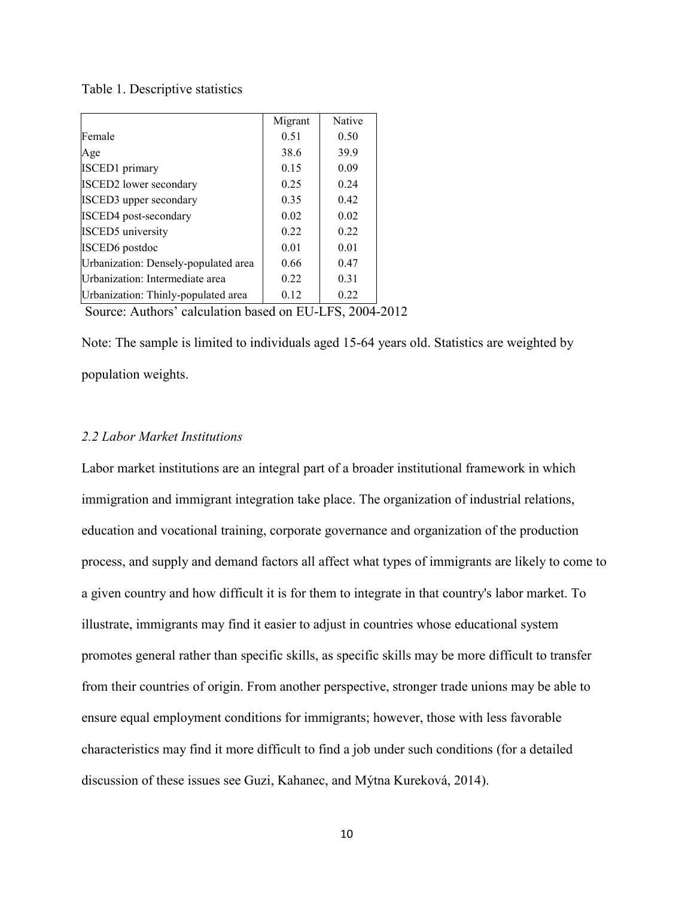#### Table 1. Descriptive statistics

|                                      | Migrant | Native |
|--------------------------------------|---------|--------|
| Female                               | 0.51    | 0.50   |
| Age                                  | 38.6    | 39.9   |
| <b>ISCED1</b> primary                | 0.15    | 0.09   |
| <b>ISCED2</b> lower secondary        | 0.25    | 0.24   |
| <b>ISCED3</b> upper secondary        | 0.35    | 0.42   |
| ISCED4 post-secondary                | 0.02    | 0.02   |
| <b>ISCED5</b> university             | 0.22    | 0.22   |
| <b>ISCED6</b> postdoc                | 0.01    | 0.01   |
| Urbanization: Densely-populated area | 0.66    | 0.47   |
| Urbanization: Intermediate area      | 0.22    | 0.31   |
| Urbanization: Thinly-populated area  | 0.12    | 0.22   |
|                                      |         | га     |

Source: Authors' calculation based on EU-LFS, 2004-2012

Note: The sample is limited to individuals aged 15-64 years old. Statistics are weighted by population weights.

#### *2.2 Labor Market Institutions*

Labor market institutions are an integral part of a broader institutional framework in which immigration and immigrant integration take place. The organization of industrial relations, education and vocational training, corporate governance and organization of the production process, and supply and demand factors all affect what types of immigrants are likely to come to a given country and how difficult it is for them to integrate in that country's labor market. To illustrate, immigrants may find it easier to adjust in countries whose educational system promotes general rather than specific skills, as specific skills may be more difficult to transfer from their countries of origin. From another perspective, stronger trade unions may be able to ensure equal employment conditions for immigrants; however, those with less favorable characteristics may find it more difficult to find a job under such conditions (for a detailed discussion of these issues see Guzi, Kahanec, and Mýtna Kureková, 2014).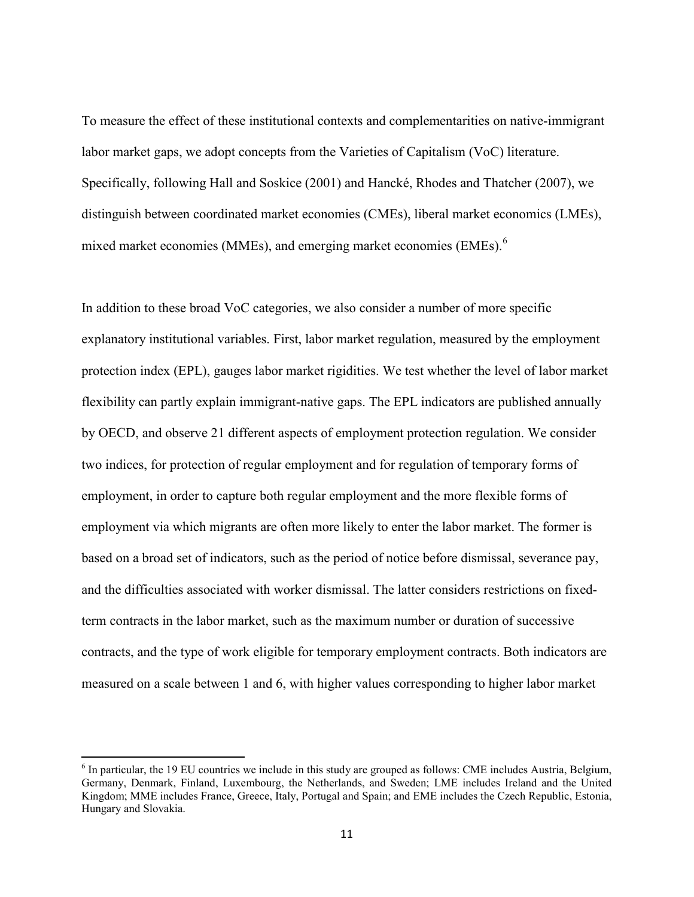To measure the effect of these institutional contexts and complementarities on native-immigrant labor market gaps, we adopt concepts from the Varieties of Capitalism (VoC) literature. Specifically, following Hall and Soskice (2001) and Hancké, Rhodes and Thatcher (2007), we distinguish between coordinated market economies (CMEs), liberal market economics (LMEs), mixed market economies (MMEs), and emerging market economies (EMEs).<sup>[6](#page-8-0)</sup>

In addition to these broad VoC categories, we also consider a number of more specific explanatory institutional variables. First, labor market regulation, measured by the employment protection index (EPL), gauges labor market rigidities. We test whether the level of labor market flexibility can partly explain immigrant-native gaps. The EPL indicators are published annually by OECD, and observe 21 different aspects of employment protection regulation. We consider two indices, for protection of regular employment and for regulation of temporary forms of employment, in order to capture both regular employment and the more flexible forms of employment via which migrants are often more likely to enter the labor market. The former is based on a broad set of indicators, such as the period of notice before dismissal, severance pay, and the difficulties associated with worker dismissal. The latter considers restrictions on fixedterm contracts in the labor market, such as the maximum number or duration of successive contracts, and the type of work eligible for temporary employment contracts. Both indicators are measured on a scale between 1 and 6, with higher values corresponding to higher labor market

<span id="page-11-0"></span><sup>6</sup> In particular, the 19 EU countries we include in this study are grouped as follows: CME includes Austria, Belgium, Germany, Denmark, Finland, Luxembourg, the Netherlands, and Sweden; LME includes Ireland and the United Kingdom; MME includes France, Greece, Italy, Portugal and Spain; and EME includes the Czech Republic, Estonia, Hungary and Slovakia.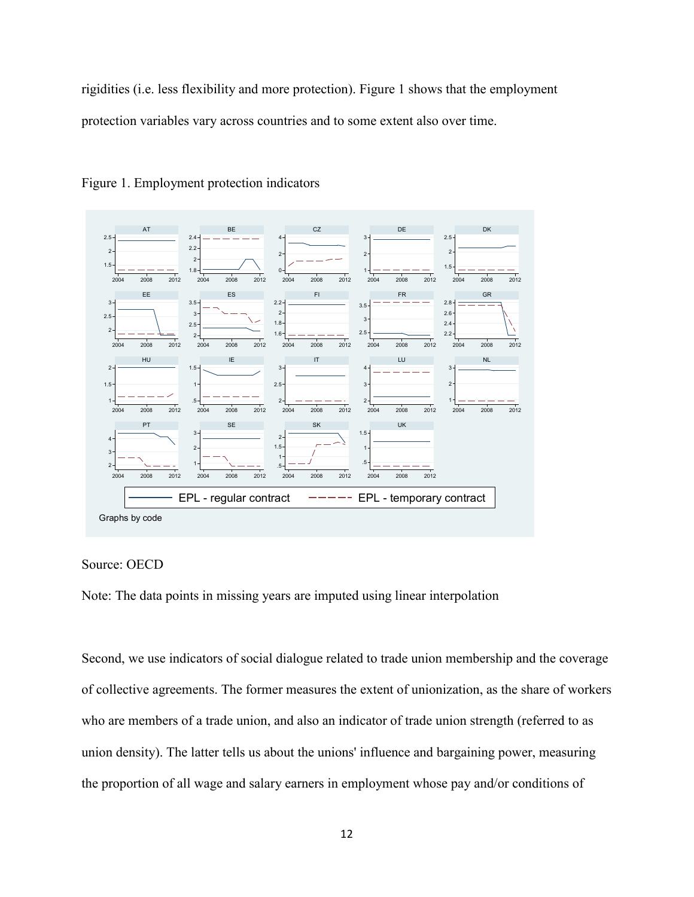rigidities (i.e. less flexibility and more protection). Figure 1 shows that the employment protection variables vary across countries and to some extent also over time.



Figure 1. Employment protection indicators



Note: The data points in missing years are imputed using linear interpolation

Second, we use indicators of social dialogue related to trade union membership and the coverage of collective agreements. The former measures the extent of unionization, as the share of workers who are members of a trade union, and also an indicator of trade union strength (referred to as union density). The latter tells us about the unions' influence and bargaining power, measuring the proportion of all wage and salary earners in employment whose pay and/or conditions of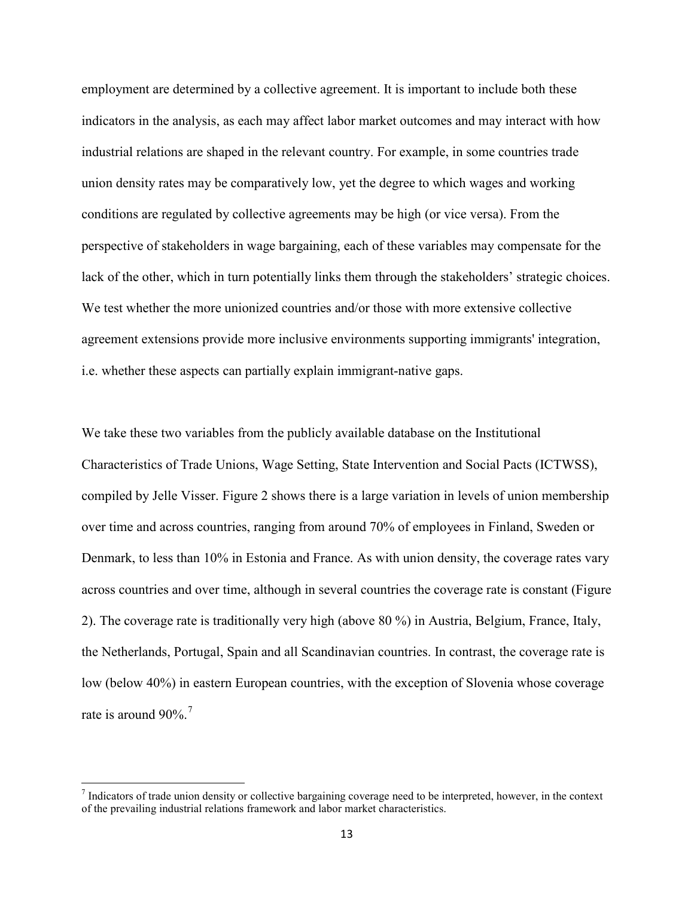employment are determined by a collective agreement. It is important to include both these indicators in the analysis, as each may affect labor market outcomes and may interact with how industrial relations are shaped in the relevant country. For example, in some countries trade union density rates may be comparatively low, yet the degree to which wages and working conditions are regulated by collective agreements may be high (or vice versa). From the perspective of stakeholders in wage bargaining, each of these variables may compensate for the lack of the other, which in turn potentially links them through the stakeholders' strategic choices. We test whether the more unionized countries and/or those with more extensive collective agreement extensions provide more inclusive environments supporting immigrants' integration, i.e. whether these aspects can partially explain immigrant-native gaps.

We take these two variables from the publicly available database on the Institutional Characteristics of Trade Unions, Wage Setting, State Intervention and Social Pacts (ICTWSS), compiled by Jelle Visser. Figure 2 shows there is a large variation in levels of union membership over time and across countries, ranging from around 70% of employees in Finland, Sweden or Denmark, to less than 10% in Estonia and France. As with union density, the coverage rates vary across countries and over time, although in several countries the coverage rate is constant (Figure 2). The coverage rate is traditionally very high (above 80 %) in Austria, Belgium, France, Italy, the Netherlands, Portugal, Spain and all Scandinavian countries. In contrast, the coverage rate is low (below 40%) in eastern European countries, with the exception of Slovenia whose coverage rate is around  $90\%$ .<sup>[7](#page-11-0)</sup>

 $<sup>7</sup>$  Indicators of trade union density or collective bargaining coverage need to be interpreted, however, in the context</sup> of the prevailing industrial relations framework and labor market characteristics.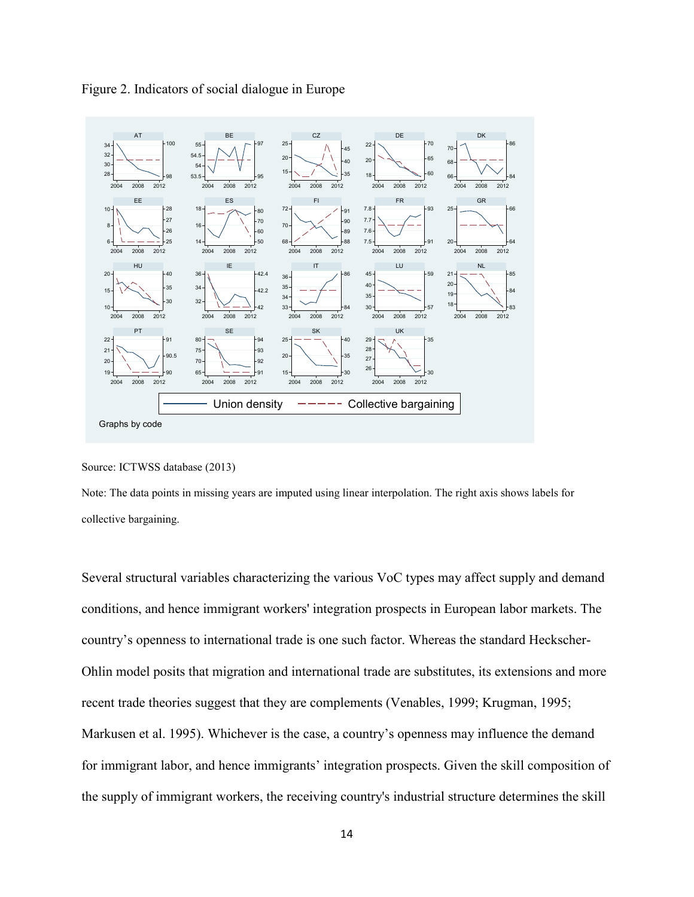



#### Source: ICTWSS database (2013)

Note: The data points in missing years are imputed using linear interpolation. The right axis shows labels for collective bargaining.

Several structural variables characterizing the various VoC types may affect supply and demand conditions, and hence immigrant workers' integration prospects in European labor markets. The country's openness to international trade is one such factor. Whereas the standard Heckscher-Ohlin model posits that migration and international trade are substitutes, its extensions and more recent trade theories suggest that they are complements (Venables, 1999; Krugman, 1995; Markusen et al. 1995). Whichever is the case, a country's openness may influence the demand for immigrant labor, and hence immigrants' integration prospects. Given the skill composition of the supply of immigrant workers, the receiving country's industrial structure determines the skill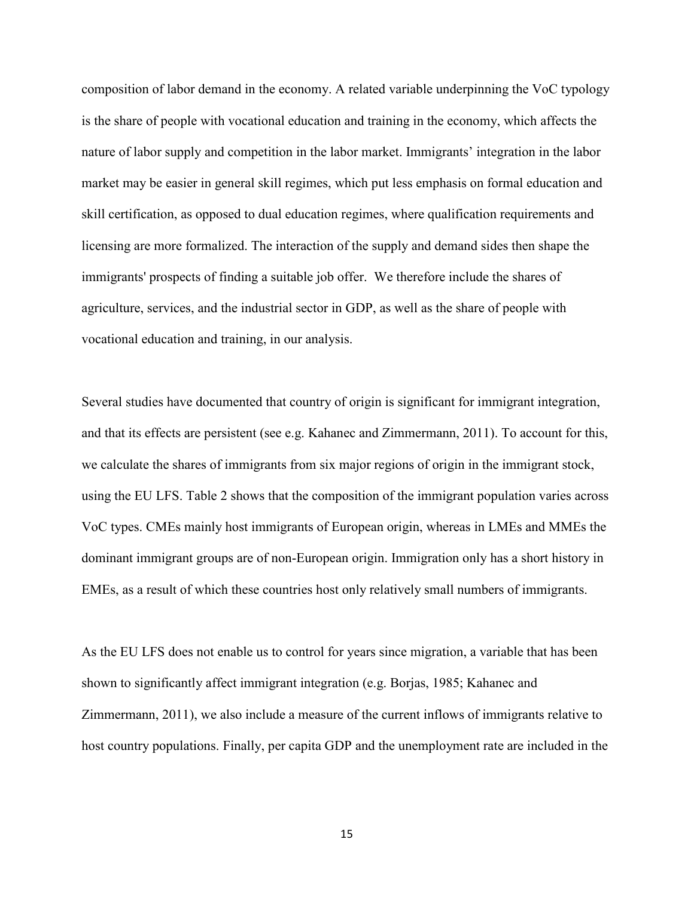composition of labor demand in the economy. A related variable underpinning the VoC typology is the share of people with vocational education and training in the economy, which affects the nature of labor supply and competition in the labor market. Immigrants' integration in the labor market may be easier in general skill regimes, which put less emphasis on formal education and skill certification, as opposed to dual education regimes, where qualification requirements and licensing are more formalized. The interaction of the supply and demand sides then shape the immigrants' prospects of finding a suitable job offer. We therefore include the shares of agriculture, services, and the industrial sector in GDP, as well as the share of people with vocational education and training, in our analysis.

Several studies have documented that country of origin is significant for immigrant integration, and that its effects are persistent (see e.g. Kahanec and Zimmermann, 2011). To account for this, we calculate the shares of immigrants from six major regions of origin in the immigrant stock, using the EU LFS. Table 2 shows that the composition of the immigrant population varies across VoC types. CMEs mainly host immigrants of European origin, whereas in LMEs and MMEs the dominant immigrant groups are of non-European origin. Immigration only has a short history in EMEs, as a result of which these countries host only relatively small numbers of immigrants.

As the EU LFS does not enable us to control for years since migration, a variable that has been shown to significantly affect immigrant integration (e.g. Borjas, 1985; Kahanec and Zimmermann, 2011), we also include a measure of the current inflows of immigrants relative to host country populations. Finally, per capita GDP and the unemployment rate are included in the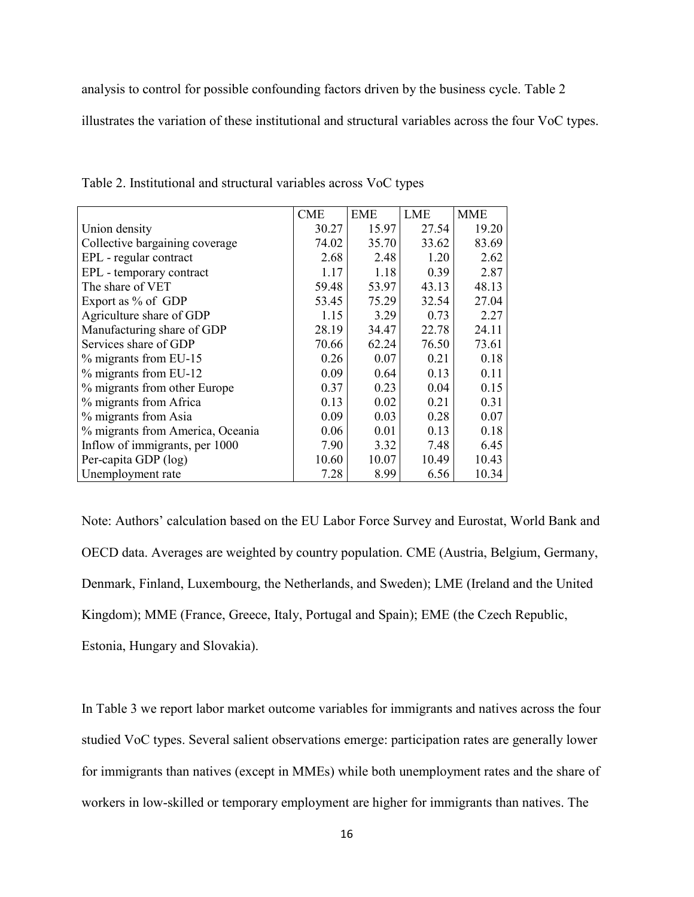analysis to control for possible confounding factors driven by the business cycle. Table 2

illustrates the variation of these institutional and structural variables across the four VoC types.

|                                  | <b>CME</b> | <b>EME</b> | <b>LME</b> | <b>MME</b> |
|----------------------------------|------------|------------|------------|------------|
| Union density                    | 30.27      | 15.97      | 27.54      | 19.20      |
| Collective bargaining coverage   | 74.02      | 35.70      | 33.62      | 83.69      |
| EPL - regular contract           | 2.68       | 2.48       | 1.20       | 2.62       |
| EPL - temporary contract         | 1.17       | 1.18       | 0.39       | 2.87       |
| The share of VET                 | 59.48      | 53.97      | 43.13      | 48.13      |
| Export as % of GDP               | 53.45      | 75.29      | 32.54      | 27.04      |
| Agriculture share of GDP         | 1.15       | 3.29       | 0.73       | 2.27       |
| Manufacturing share of GDP       | 28.19      | 34.47      | 22.78      | 24.11      |
| Services share of GDP            | 70.66      | 62.24      | 76.50      | 73.61      |
| % migrants from EU-15            | 0.26       | 0.07       | 0.21       | 0.18       |
| % migrants from EU-12            | 0.09       | 0.64       | 0.13       | 0.11       |
| % migrants from other Europe     | 0.37       | 0.23       | 0.04       | 0.15       |
| % migrants from Africa           | 0.13       | 0.02       | 0.21       | 0.31       |
| % migrants from Asia             | 0.09       | 0.03       | 0.28       | 0.07       |
| % migrants from America, Oceania | 0.06       | 0.01       | 0.13       | 0.18       |
| Inflow of immigrants, per 1000   | 7.90       | 3.32       | 7.48       | 6.45       |
| Per-capita GDP (log)             | 10.60      | 10.07      | 10.49      | 10.43      |
| Unemployment rate                | 7.28       | 8.99       | 6.56       | 10.34      |

Table 2. Institutional and structural variables across VoC types

Note: Authors' calculation based on the EU Labor Force Survey and Eurostat, World Bank and OECD data. Averages are weighted by country population. CME (Austria, Belgium, Germany, Denmark, Finland, Luxembourg, the Netherlands, and Sweden); LME (Ireland and the United Kingdom); MME (France, Greece, Italy, Portugal and Spain); EME (the Czech Republic, Estonia, Hungary and Slovakia).

In Table 3 we report labor market outcome variables for immigrants and natives across the four studied VoC types. Several salient observations emerge: participation rates are generally lower for immigrants than natives (except in MMEs) while both unemployment rates and the share of workers in low-skilled or temporary employment are higher for immigrants than natives. The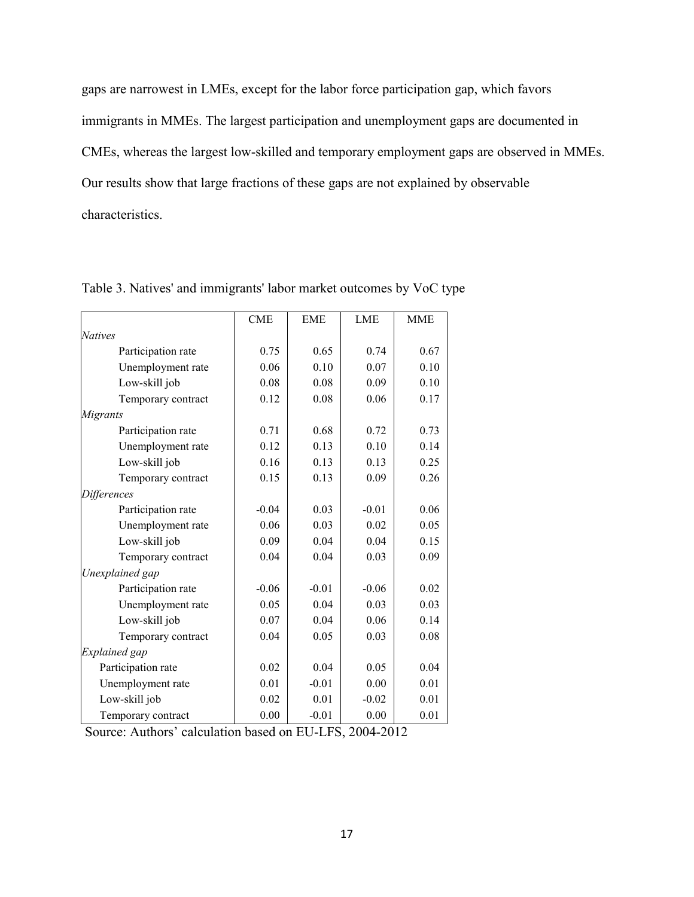gaps are narrowest in LMEs, except for the labor force participation gap, which favors immigrants in MMEs. The largest participation and unemployment gaps are documented in CMEs, whereas the largest low-skilled and temporary employment gaps are observed in MMEs. Our results show that large fractions of these gaps are not explained by observable characteristics.

|                      | <b>CME</b> | <b>EME</b> | <b>LME</b> | <b>MME</b> |
|----------------------|------------|------------|------------|------------|
| <b>Natives</b>       |            |            |            |            |
| Participation rate   | 0.75       | 0.65       | 0.74       | 0.67       |
| Unemployment rate    | 0.06       | 0.10       | 0.07       | 0.10       |
| Low-skill job        | 0.08       | 0.08       | 0.09       | 0.10       |
| Temporary contract   | 0.12       | 0.08       | 0.06       | 0.17       |
| Migrants             |            |            |            |            |
| Participation rate   | 0.71       | 0.68       | 0.72       | 0.73       |
| Unemployment rate    | 0.12       | 0.13       | 0.10       | 0.14       |
| Low-skill job        | 0.16       | 0.13       | 0.13       | 0.25       |
| Temporary contract   | 0.15       | 0.13       | 0.09       | 0.26       |
| <b>Differences</b>   |            |            |            |            |
| Participation rate   | $-0.04$    | 0.03       | $-0.01$    | 0.06       |
| Unemployment rate    | 0.06       | 0.03       | 0.02       | 0.05       |
| Low-skill job        | 0.09       | 0.04       | 0.04       | 0.15       |
| Temporary contract   | 0.04       | 0.04       | 0.03       | 0.09       |
| Unexplained gap      |            |            |            |            |
| Participation rate   | $-0.06$    | $-0.01$    | $-0.06$    | 0.02       |
| Unemployment rate    | 0.05       | 0.04       | 0.03       | 0.03       |
| Low-skill job        | 0.07       | 0.04       | 0.06       | 0.14       |
| Temporary contract   | 0.04       | 0.05       | 0.03       | 0.08       |
| <b>Explained</b> gap |            |            |            |            |
| Participation rate   | 0.02       | 0.04       | 0.05       | 0.04       |
| Unemployment rate    | 0.01       | $-0.01$    | 0.00       | 0.01       |
| Low-skill job        | 0.02       | 0.01       | $-0.02$    | 0.01       |
| Temporary contract   | 0.00       | $-0.01$    | 0.00       | 0.01       |

Table 3. Natives' and immigrants' labor market outcomes by VoC type

Source: Authors' calculation based on EU-LFS, 2004-2012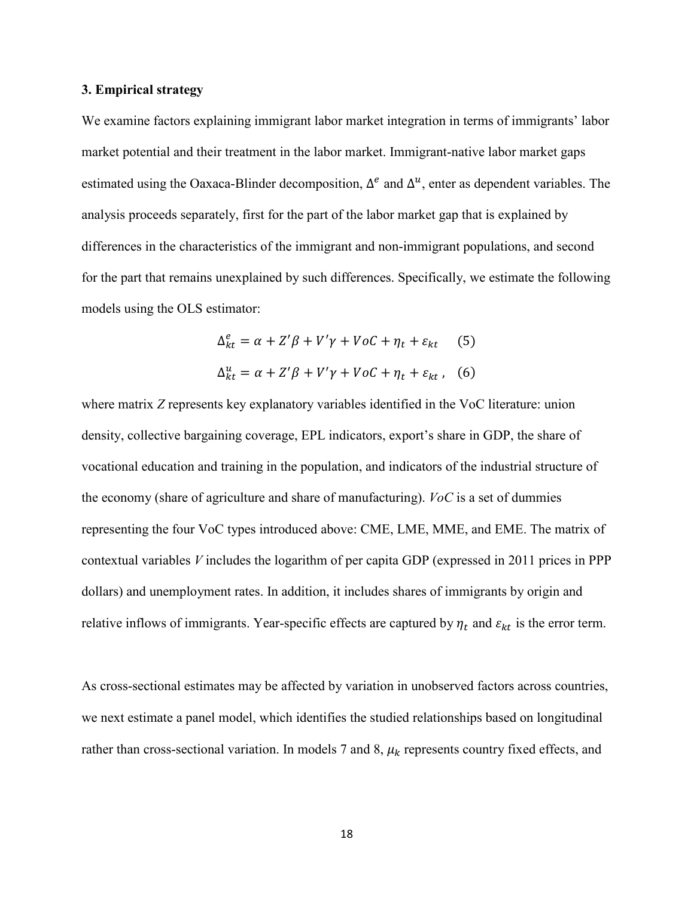#### **3. Empirical strategy**

We examine factors explaining immigrant labor market integration in terms of immigrants' labor market potential and their treatment in the labor market. Immigrant-native labor market gaps estimated using the Oaxaca-Blinder decomposition,  $\Delta^e$  and  $\Delta^u$ , enter as dependent variables. The analysis proceeds separately, first for the part of the labor market gap that is explained by differences in the characteristics of the immigrant and non-immigrant populations, and second for the part that remains unexplained by such differences. Specifically, we estimate the following models using the OLS estimator:

$$
\Delta_{kt}^{e} = \alpha + Z'\beta + V'\gamma + VoC + \eta_{t} + \varepsilon_{kt} \quad (5)
$$
  

$$
\Delta_{kt}^{u} = \alpha + Z'\beta + V'\gamma + VoC + \eta_{t} + \varepsilon_{kt} \quad (6)
$$

where matrix *Z* represents key explanatory variables identified in the VoC literature: union density, collective bargaining coverage, EPL indicators, export's share in GDP, the share of vocational education and training in the population, and indicators of the industrial structure of the economy (share of agriculture and share of manufacturing). *VoC* is a set of dummies representing the four VoC types introduced above: CME, LME, MME, and EME. The matrix of contextual variables *V* includes the logarithm of per capita GDP (expressed in 2011 prices in PPP dollars) and unemployment rates. In addition, it includes shares of immigrants by origin and relative inflows of immigrants. Year-specific effects are captured by  $\eta_t$  and  $\varepsilon_{kt}$  is the error term.

As cross-sectional estimates may be affected by variation in unobserved factors across countries, we next estimate a panel model, which identifies the studied relationships based on longitudinal rather than cross-sectional variation. In models 7 and 8,  $\mu_k$  represents country fixed effects, and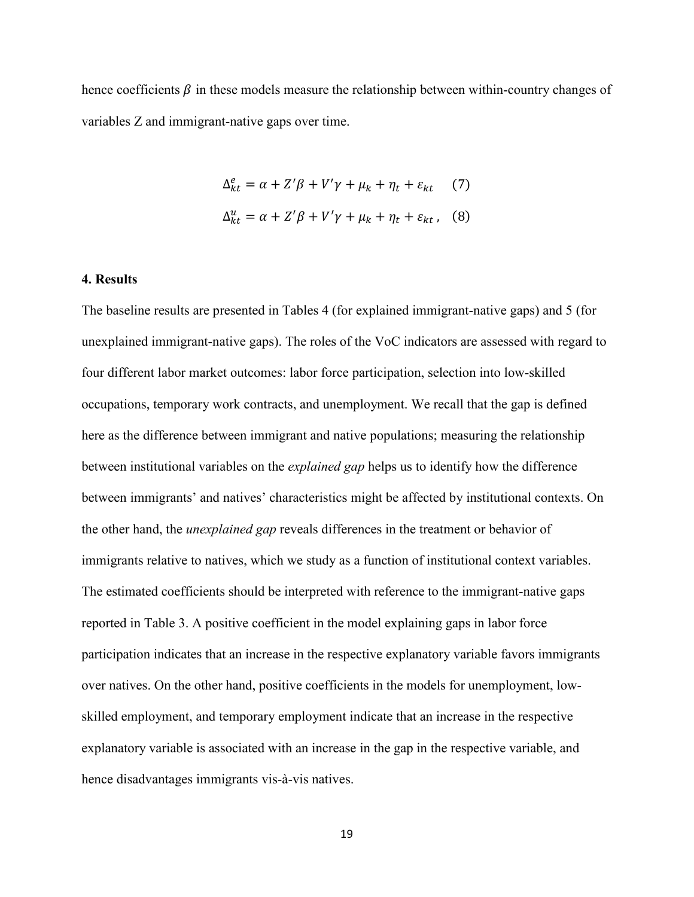hence coefficients  $\beta$  in these models measure the relationship between within-country changes of variables Z and immigrant-native gaps over time.

$$
\Delta_{kt}^{e} = \alpha + Z'\beta + V'\gamma + \mu_{k} + \eta_{t} + \varepsilon_{kt} \qquad (7)
$$
  

$$
\Delta_{kt}^{u} = \alpha + Z'\beta + V'\gamma + \mu_{k} + \eta_{t} + \varepsilon_{kt} \qquad (8)
$$

#### **4. Results**

The baseline results are presented in Tables 4 (for explained immigrant-native gaps) and 5 (for unexplained immigrant-native gaps). The roles of the VoC indicators are assessed with regard to four different labor market outcomes: labor force participation, selection into low-skilled occupations, temporary work contracts, and unemployment. We recall that the gap is defined here as the difference between immigrant and native populations; measuring the relationship between institutional variables on the *explained gap* helps us to identify how the difference between immigrants' and natives' characteristics might be affected by institutional contexts. On the other hand, the *unexplained gap* reveals differences in the treatment or behavior of immigrants relative to natives, which we study as a function of institutional context variables. The estimated coefficients should be interpreted with reference to the immigrant-native gaps reported in Table 3. A positive coefficient in the model explaining gaps in labor force participation indicates that an increase in the respective explanatory variable favors immigrants over natives. On the other hand, positive coefficients in the models for unemployment, lowskilled employment, and temporary employment indicate that an increase in the respective explanatory variable is associated with an increase in the gap in the respective variable, and hence disadvantages immigrants vis-à-vis natives.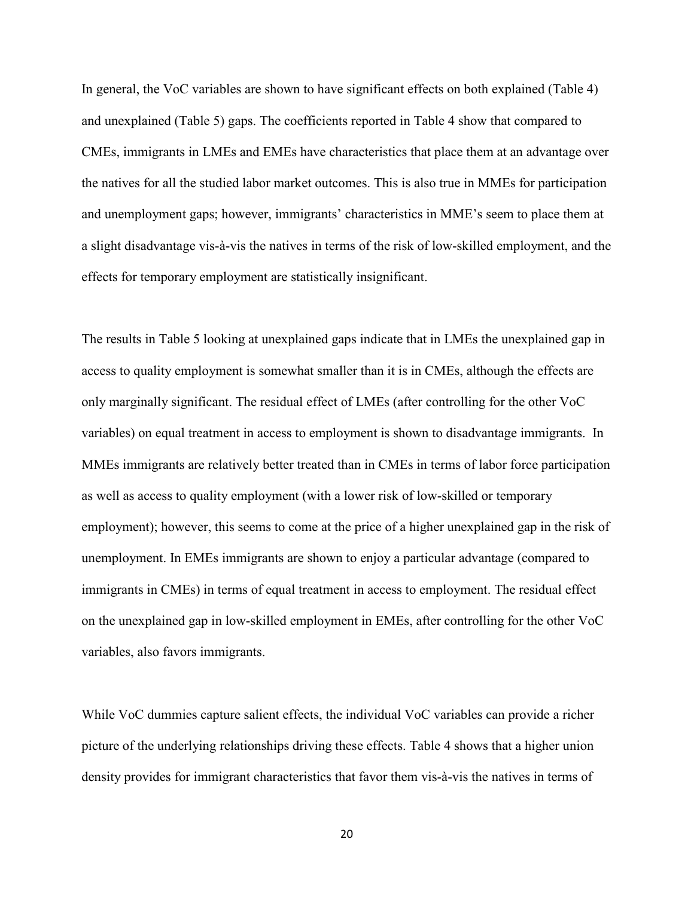In general, the VoC variables are shown to have significant effects on both explained (Table 4) and unexplained (Table 5) gaps. The coefficients reported in Table 4 show that compared to CMEs, immigrants in LMEs and EMEs have characteristics that place them at an advantage over the natives for all the studied labor market outcomes. This is also true in MMEs for participation and unemployment gaps; however, immigrants' characteristics in MME's seem to place them at a slight disadvantage vis-à-vis the natives in terms of the risk of low-skilled employment, and the effects for temporary employment are statistically insignificant.

The results in Table 5 looking at unexplained gaps indicate that in LMEs the unexplained gap in access to quality employment is somewhat smaller than it is in CMEs, although the effects are only marginally significant. The residual effect of LMEs (after controlling for the other VoC variables) on equal treatment in access to employment is shown to disadvantage immigrants. In MMEs immigrants are relatively better treated than in CMEs in terms of labor force participation as well as access to quality employment (with a lower risk of low-skilled or temporary employment); however, this seems to come at the price of a higher unexplained gap in the risk of unemployment. In EMEs immigrants are shown to enjoy a particular advantage (compared to immigrants in CMEs) in terms of equal treatment in access to employment. The residual effect on the unexplained gap in low-skilled employment in EMEs, after controlling for the other VoC variables, also favors immigrants.

While VoC dummies capture salient effects, the individual VoC variables can provide a richer picture of the underlying relationships driving these effects. Table 4 shows that a higher union density provides for immigrant characteristics that favor them vis-à-vis the natives in terms of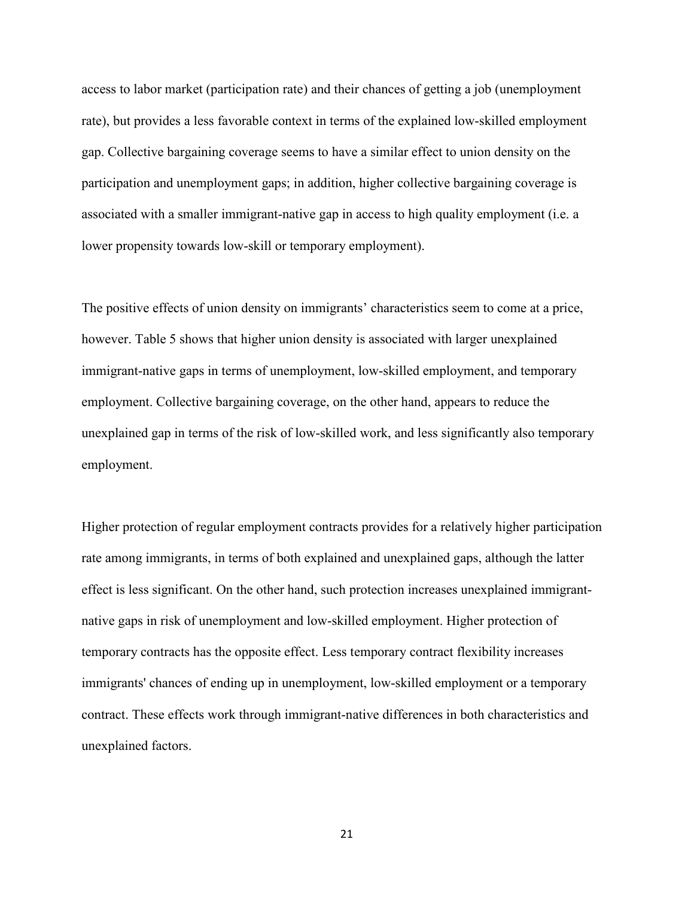access to labor market (participation rate) and their chances of getting a job (unemployment rate), but provides a less favorable context in terms of the explained low-skilled employment gap. Collective bargaining coverage seems to have a similar effect to union density on the participation and unemployment gaps; in addition, higher collective bargaining coverage is associated with a smaller immigrant-native gap in access to high quality employment (i.e. a lower propensity towards low-skill or temporary employment).

The positive effects of union density on immigrants' characteristics seem to come at a price, however. Table 5 shows that higher union density is associated with larger unexplained immigrant-native gaps in terms of unemployment, low-skilled employment, and temporary employment. Collective bargaining coverage, on the other hand, appears to reduce the unexplained gap in terms of the risk of low-skilled work, and less significantly also temporary employment.

Higher protection of regular employment contracts provides for a relatively higher participation rate among immigrants, in terms of both explained and unexplained gaps, although the latter effect is less significant. On the other hand, such protection increases unexplained immigrantnative gaps in risk of unemployment and low-skilled employment. Higher protection of temporary contracts has the opposite effect. Less temporary contract flexibility increases immigrants' chances of ending up in unemployment, low-skilled employment or a temporary contract. These effects work through immigrant-native differences in both characteristics and unexplained factors.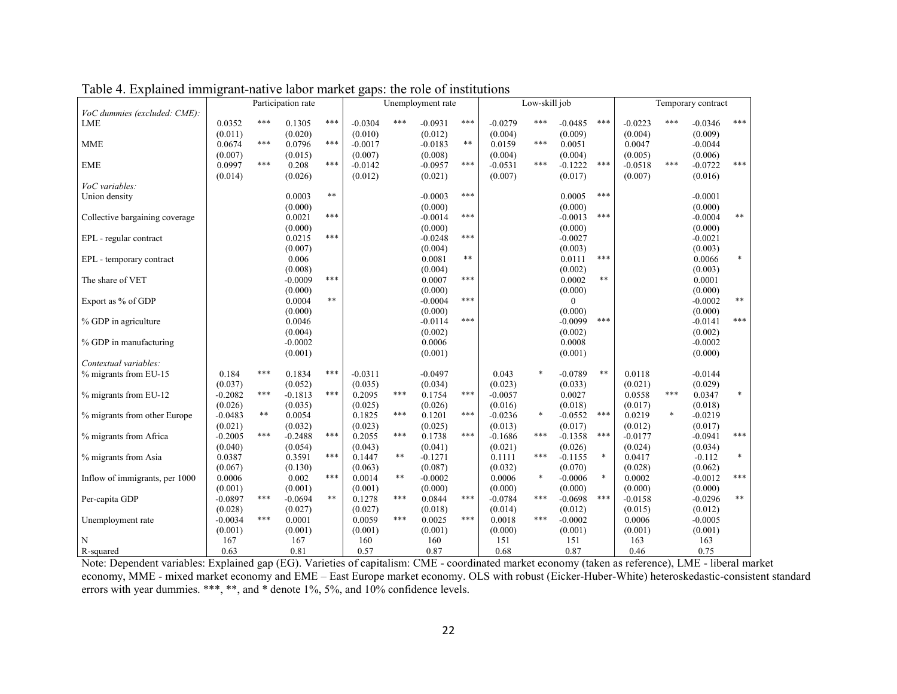|                                | Participation rate |     |                   |       |                   |       | Unemployment rate    |       |                   | Low-skill job |                      |        | Temporary contract |        |                      |            |  |
|--------------------------------|--------------------|-----|-------------------|-------|-------------------|-------|----------------------|-------|-------------------|---------------|----------------------|--------|--------------------|--------|----------------------|------------|--|
| VoC dummies (excluded: CME):   |                    |     |                   |       |                   |       |                      |       |                   |               |                      |        |                    |        |                      |            |  |
| LME                            | 0.0352             | *** | 0.1305            | ***   | $-0.0304$         | ***   | $-0.0931$            | ***   | $-0.0279$         | ***           | $-0.0485$            | ***    | $-0.0223$          | ***    | $-0.0346$            | $***$      |  |
|                                | (0.011)            |     | (0.020)           |       | (0.010)           |       | (0.012)              |       | (0.004)           |               | (0.009)              |        | (0.004)            |        | (0.009)              |            |  |
| <b>MME</b>                     | 0.0674             | *** | 0.0796            | ***   | $-0.0017$         |       | $-0.0183$            | $***$ | 0.0159            | ***           | 0.0051               |        | 0.0047             |        | $-0.0044$            |            |  |
|                                | (0.007)            |     | (0.015)           |       | (0.007)           |       | (0.008)              |       | (0.004)           |               | (0.004)              |        | (0.005)            |        | (0.006)              |            |  |
| <b>EME</b>                     | 0.0997             | *** | 0.208             | ***   | $-0.0142$         |       | $-0.0957$            | ***   | $-0.0531$         | ***           | $-0.1222$            | ***    | $-0.0518$          | ***    | $-0.0722$            | $***$      |  |
|                                | (0.014)            |     | (0.026)           |       | (0.012)           |       | (0.021)              |       | (0.007)           |               | (0.017)              |        | (0.007)            |        | (0.016)              |            |  |
| VoC variables:                 |                    |     |                   |       |                   |       |                      |       |                   |               |                      |        |                    |        |                      |            |  |
| Union density                  |                    |     | 0.0003            | $***$ |                   |       | $-0.0003$            | ***   |                   |               | 0.0005               | ***    |                    |        | $-0.0001$            |            |  |
|                                |                    |     | (0.000)           |       |                   |       | (0.000)              |       |                   |               | (0.000)              |        |                    |        | (0.000)              |            |  |
| Collective bargaining coverage |                    |     | 0.0021            | ***   |                   |       | $-0.0014$            | ***   |                   |               | $-0.0013$            | ***    |                    |        | $-0.0004$            | $***$      |  |
|                                |                    |     |                   |       |                   |       |                      |       |                   |               |                      |        |                    |        |                      |            |  |
|                                |                    |     | (0.000)<br>0.0215 | ***   |                   |       | (0.000)<br>$-0.0248$ | ***   |                   |               | (0.000)              |        |                    |        | (0.000)<br>$-0.0021$ |            |  |
| EPL - regular contract         |                    |     |                   |       |                   |       |                      |       |                   |               | $-0.0027$            |        |                    |        |                      |            |  |
|                                |                    |     | (0.007)           |       |                   |       | (0.004)              | $***$ |                   |               | (0.003)              | ***    |                    |        | (0.003)              |            |  |
| EPL - temporary contract       |                    |     | 0.006             |       |                   |       | 0.0081               |       |                   |               | 0.0111               |        |                    |        | 0.0066               | $\ast$     |  |
|                                |                    |     | (0.008)           |       |                   |       | (0.004)              |       |                   |               | (0.002)              |        |                    |        | (0.003)              |            |  |
| The share of VET               |                    |     | $-0.0009$         | ***   |                   |       | 0.0007               | ***   |                   |               | 0.0002               | $***$  |                    |        | 0.0001               |            |  |
|                                |                    |     | (0.000)           |       |                   |       | (0.000)              |       |                   |               | (0.000)              |        |                    |        | (0.000)              |            |  |
| Export as % of GDP             |                    |     | 0.0004            | $***$ |                   |       | $-0.0004$            | ***   |                   |               | $\theta$             |        |                    |        | $-0.0002$            | $\ast\ast$ |  |
|                                |                    |     | (0.000)           |       |                   |       | (0.000)              |       |                   |               | (0.000)              |        |                    |        | (0.000)              |            |  |
| % GDP in agriculture           |                    |     | 0.0046            |       |                   |       | $-0.0114$            | ***   |                   |               | $-0.0099$            | ***    |                    |        | $-0.0141$            | ***        |  |
|                                |                    |     | (0.004)           |       |                   |       | (0.002)              |       |                   |               | (0.002)              |        |                    |        | (0.002)              |            |  |
| % GDP in manufacturing         |                    |     | $-0.0002$         |       |                   |       | 0.0006               |       |                   |               | 0.0008               |        |                    |        | $-0.0002$            |            |  |
|                                |                    |     | (0.001)           |       |                   |       | (0.001)              |       |                   |               | (0.001)              |        |                    |        | (0.000)              |            |  |
| Contextual variables:          |                    |     |                   |       |                   |       |                      |       |                   |               |                      |        |                    |        |                      |            |  |
| % migrants from EU-15          | 0.184              | *** | 0.1834            | $***$ | $-0.0311$         |       | $-0.0497$            |       | 0.043             | $\ast$        | $-0.0789$            | $***$  | 0.0118             |        | $-0.0144$            |            |  |
|                                | (0.037)            |     | (0.052)           |       | (0.035)           |       | (0.034)              |       | (0.023)           |               | (0.033)              |        | (0.021)            |        | (0.029)              |            |  |
| % migrants from EU-12          | $-0.2082$          | *** | $-0.1813$         | $***$ | 0.2095            | ***   | 0.1754               | ***   | $-0.0057$         |               | 0.0027               |        | 0.0558             | ***    | 0.0347               | $\ast$     |  |
|                                | (0.026)            |     | (0.035)           |       | (0.025)           |       | (0.026)              |       | (0.016)           |               | (0.018)              |        | (0.017)            |        | (0.018)              |            |  |
| % migrants from other Europe   | $-0.0483$          | **  | 0.0054            |       | 0.1825            | ***   | 0.1201               | ***   | $-0.0236$         | $\ast$        | $-0.0552$            | ***    | 0.0219             | $\ast$ | $-0.0219$            |            |  |
|                                | (0.021)            |     | (0.032)           |       | (0.023)           |       | (0.025)              |       | (0.013)           |               | (0.017)              |        | (0.012)            |        | (0.017)              |            |  |
| % migrants from Africa         | $-0.2005$          | *** | $-0.2488$         | $***$ | 0.2055            | ***   | 0.1738               | ***   | $-0.1686$         | ***           | $-0.1358$            | ***    | $-0.0177$          |        | $-0.0941$            | ***        |  |
|                                | (0.040)            |     | (0.054)           |       | (0.043)           |       | (0.041)              |       | (0.021)           |               | (0.026)              |        | (0.024)            |        | (0.034)              |            |  |
| % migrants from Asia           | 0.0387             |     | 0.3591            | ***   | 0.1447            | $***$ | $-0.1271$            |       | 0.1111            | ***           | $-0.1155$            | $\ast$ | 0.0417             |        | $-0.112$             | $\ast$     |  |
|                                |                    |     |                   |       |                   |       |                      |       |                   |               |                      |        |                    |        |                      |            |  |
|                                | (0.067)            |     | (0.130)<br>0.002  | $***$ | (0.063)<br>0.0014 | $***$ | (0.087)<br>$-0.0002$ |       | (0.032)<br>0.0006 | $\ast$        | (0.070)<br>$-0.0006$ | $\ast$ | (0.028)<br>0.0002  |        | (0.062)<br>$-0.0012$ | ***        |  |
| Inflow of immigrants, per 1000 | 0.0006             |     |                   |       |                   |       |                      |       |                   |               |                      |        |                    |        |                      |            |  |
|                                | (0.001)            |     | (0.001)           | $***$ | (0.001)           |       | (0.000)              |       | (0.000)           | ***           | (0.000)              |        | (0.000)            |        | (0.000)              | $\ast\ast$ |  |
| Per-capita GDP                 | $-0.0897$          | *** | $-0.0694$         |       | 0.1278            | ***   | 0.0844               | ***   | $-0.0784$         |               | $-0.0698$            | ***    | $-0.0158$          |        | $-0.0296$            |            |  |
|                                | (0.028)            |     | (0.027)           |       | (0.027)           |       | (0.018)              |       | (0.014)           |               | (0.012)              |        | (0.015)            |        | (0.012)              |            |  |
| Unemployment rate              | $-0.0034$          | *** | 0.0001            |       | 0.0059            | ***   | 0.0025               | ***   | 0.0018            | ***           | $-0.0002$            |        | 0.0006             |        | $-0.0005$            |            |  |
|                                | (0.001)            |     | (0.001)           |       | (0.001)           |       | (0.001)              |       | (0.000)           |               | (0.001)              |        | (0.001)            |        | (0.001)              |            |  |
| N                              | 167                |     | 167               |       | 160               |       | 160                  |       | 151               |               | 151                  |        | 163                |        | 163                  |            |  |
| R-squared                      | 0.63               |     | 0.81              |       | 0.57              |       | 0.87                 |       | 0.68              |               | 0.87                 |        | 0.46               |        | 0.75                 |            |  |

Table 4. Explained immigrant-native labor market gaps: the role of institutions

Note: Dependent variables: Explained gap (EG). Varieties of capitalism: CME - coordinated market economy (taken as reference), LME - liberal market economy, MME - mixed market economy and EME – East Europe market economy. OLS with robust (Eicker-Huber-White) heteroskedastic-consistent standard errors with year dummies. \*\*\*, \*\*, and \* denote 1%, 5%, and 10% confidence levels.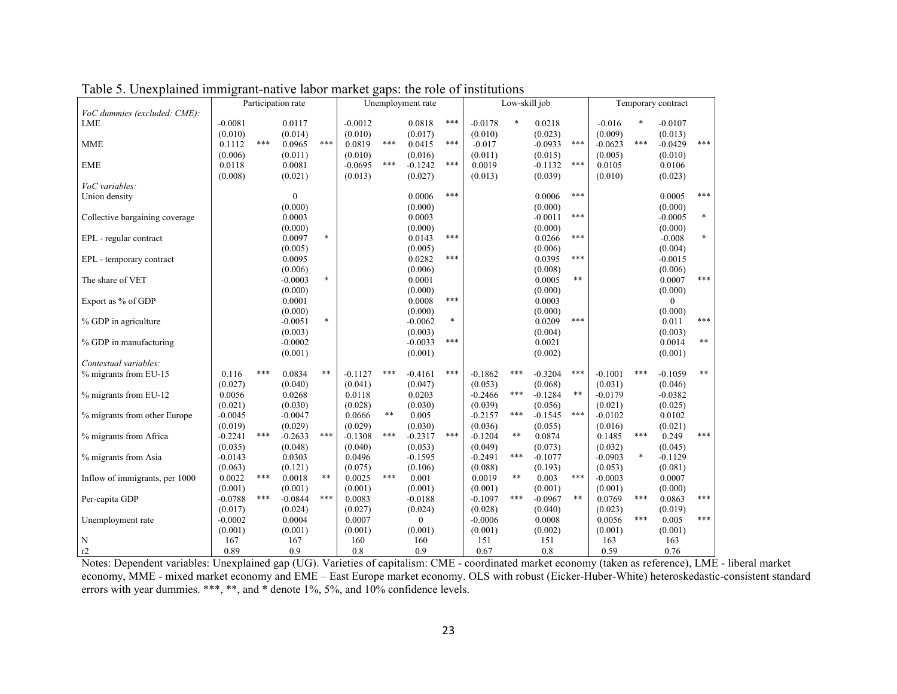|                                |           | Participation rate | Unemployment rate |        |           |       |              | Low-skill job |           | Temporary contract |           |       |           |        |                |        |
|--------------------------------|-----------|--------------------|-------------------|--------|-----------|-------|--------------|---------------|-----------|--------------------|-----------|-------|-----------|--------|----------------|--------|
| VoC dummies (excluded: CME):   |           |                    |                   |        |           |       |              |               |           |                    |           |       |           |        |                |        |
| LME                            | $-0.0081$ |                    | 0.0117            |        | $-0.0012$ |       | 0.0818       | $***$         | $-0.0178$ | $\ast$             | 0.0218    |       | $-0.016$  |        | $-0.0107$      |        |
|                                | (0.010)   |                    | (0.014)           |        | (0.010)   |       | (0.017)      |               | (0.010)   |                    | (0.023)   |       | (0.009)   |        | (0.013)        |        |
| <b>MME</b>                     | 0.1112    | ***                | 0.0965            | $***$  | 0.0819    | $***$ | 0.0415       | ***           | $-0.017$  |                    | $-0.0933$ | ***   | $-0.0623$ | ***    | $-0.0429$      | $***$  |
|                                | (0.006)   |                    | (0.011)           |        | (0.010)   |       | (0.016)      |               | (0.011)   |                    | (0.015)   |       | (0.005)   |        | (0.010)        |        |
| <b>EME</b>                     | 0.0118    |                    | 0.0081            |        | $-0.0695$ | ***   | $-0.1242$    | ***           | 0.0019    |                    | $-0.1132$ | ***   | 0.0105    |        | 0.0106         |        |
|                                | (0.008)   |                    | (0.021)           |        | (0.013)   |       | (0.027)      |               | (0.013)   |                    | (0.039)   |       | (0.010)   |        | (0.023)        |        |
| VoC variables:                 |           |                    |                   |        |           |       |              |               |           |                    |           |       |           |        |                |        |
|                                |           |                    |                   |        |           |       |              | ***           |           |                    |           | ***   |           |        |                | ***    |
| Union density                  |           |                    | $\boldsymbol{0}$  |        |           |       | 0.0006       |               |           |                    | 0.0006    |       |           |        | 0.0005         |        |
|                                |           |                    | (0.000)           |        |           |       | (0.000)      |               |           |                    | (0.000)   |       |           |        | (0.000)        |        |
| Collective bargaining coverage |           |                    | 0.0003            |        |           |       | 0.0003       |               |           |                    | $-0.0011$ | ***   |           |        | $-0.0005$      | $\ast$ |
|                                |           |                    | (0.000)           |        |           |       | (0.000)      |               |           |                    | (0.000)   |       |           |        | (0.000)        |        |
| EPL - regular contract         |           |                    | 0.0097            | $\ast$ |           |       | 0.0143       | ***           |           |                    | 0.0266    | ***   |           |        | $-0.008$       | $\ast$ |
|                                |           |                    | (0.005)           |        |           |       | (0.005)      |               |           |                    | (0.006)   |       |           |        | (0.004)        |        |
| EPL - temporary contract       |           |                    | 0.0095            |        |           |       | 0.0282       | ***           |           |                    | 0.0395    | ***   |           |        | $-0.0015$      |        |
|                                |           |                    | (0.006)           |        |           |       | (0.006)      |               |           |                    | (0.008)   |       |           |        | (0.006)        |        |
| The share of VET               |           |                    | $-0.0003$         | $\ast$ |           |       | 0.0001       |               |           |                    | 0.0005    | $***$ |           |        | 0.0007         | ***    |
|                                |           |                    | (0.000)           |        |           |       | (0.000)      |               |           |                    | (0.000)   |       |           |        | (0.000)        |        |
| Export as % of GDP             |           |                    | 0.0001            |        |           |       | 0.0008       | ***           |           |                    | 0.0003    |       |           |        | $\overline{0}$ |        |
|                                |           |                    | (0.000)           |        |           |       | (0.000)      |               |           |                    | (0.000)   |       |           |        | (0.000)        |        |
| % GDP in agriculture           |           |                    | $-0.0051$         | $\ast$ |           |       | $-0.0062$    | $\ast$        |           |                    | 0.0209    | ***   |           |        | 0.011          | $***$  |
|                                |           |                    | (0.003)           |        |           |       | (0.003)      |               |           |                    | (0.004)   |       |           |        | (0.003)        |        |
| % GDP in manufacturing         |           |                    | $-0.0002$         |        |           |       | $-0.0033$    | ***           |           |                    | 0.0021    |       |           |        | 0.0014         | $***$  |
|                                |           |                    |                   |        |           |       |              |               |           |                    |           |       |           |        |                |        |
|                                |           |                    | (0.001)           |        |           |       | (0.001)      |               |           |                    | (0.002)   |       |           |        | (0.001)        |        |
| Contextual variables:          |           | ***                |                   |        |           |       |              |               |           |                    |           |       |           |        |                | $***$  |
| % migrants from EU-15          | 0.116     |                    | 0.0834            | $***$  | $-0.1127$ | ***   | $-0.4161$    | ***           | $-0.1862$ | ***                | $-0.3204$ | ***   | $-0.1001$ | ***    | $-0.1059$      |        |
|                                | (0.027)   |                    | (0.040)           |        | (0.041)   |       | (0.047)      |               | (0.053)   |                    | (0.068)   |       | (0.031)   |        | (0.046)        |        |
| % migrants from EU-12          | 0.0056    |                    | 0.0268            |        | 0.0118    |       | 0.0203       |               | $-0.2466$ | $***$              | $-0.1284$ | $***$ | $-0.0179$ |        | $-0.0382$      |        |
|                                | (0.021)   |                    | (0.030)           |        | (0.028)   |       | (0.030)      |               | (0.039)   |                    | (0.056)   |       | (0.021)   |        | (0.025)        |        |
| % migrants from other Europe   | $-0.0045$ |                    | $-0.0047$         |        | 0.0666    | $***$ | 0.005        |               | $-0.2157$ | ***                | $-0.1545$ | ***   | $-0.0102$ |        | 0.0102         |        |
|                                | (0.019)   |                    | (0.029)           |        | (0.029)   |       | (0.030)      |               | (0.036)   |                    | (0.055)   |       | (0.016)   |        | (0.021)        |        |
| % migrants from Africa         | $-0.2241$ | ***                | $-0.2633$         | $***$  | $-0.1308$ | ***   | $-0.2317$    | $***$         | $-0.1204$ | $\ast\ast$         | 0.0874    |       | 0.1485    | $***$  | 0.249          | ***    |
|                                | (0.035)   |                    | (0.048)           |        | (0.040)   |       | (0.053)      |               | (0.049)   |                    | (0.073)   |       | (0.032)   |        | (0.045)        |        |
| % migrants from Asia           | $-0.0143$ |                    | 0.0303            |        | 0.0496    |       | $-0.1595$    |               | $-0.2491$ | ***                | $-0.1077$ |       | $-0.0903$ | $\ast$ | $-0.1129$      |        |
|                                | (0.063)   |                    | (0.121)           |        | (0.075)   |       | (0.106)      |               | (0.088)   |                    | (0.193)   |       | (0.053)   |        | (0.081)        |        |
| Inflow of immigrants, per 1000 | 0.0022    | ***                | 0.0018            | $***$  | 0.0025    | ***   | 0.001        |               | 0.0019    | $\ast\ast$         | 0.003     | ***   | $-0.0003$ |        | 0.0007         |        |
|                                | (0.001)   |                    | (0.001)           |        | (0.001)   |       | (0.001)      |               | (0.001)   |                    | (0.001)   |       | (0.001)   |        | (0.000)        |        |
| Per-capita GDP                 | $-0.0788$ | ***                | $-0.0844$         | ***    | 0.0083    |       | $-0.0188$    |               | $-0.1097$ | ***                | $-0.0967$ | $***$ | 0.0769    | ***    | 0.0863         | ***    |
|                                | (0.017)   |                    | (0.024)           |        | (0.027)   |       | (0.024)      |               | (0.028)   |                    | (0.040)   |       | (0.023)   |        | (0.019)        |        |
| Unemployment rate              | $-0.0002$ |                    | 0.0004            |        | 0.0007    |       | $\mathbf{0}$ |               | $-0.0006$ |                    | 0.0008    |       | 0.0056    | ***    | 0.005          | ***    |
|                                | (0.001)   |                    | (0.001)           |        | (0.001)   |       | (0.001)      |               | (0.001)   |                    |           |       | (0.001)   |        | (0.001)        |        |
|                                |           |                    |                   |        |           |       |              |               |           |                    | (0.002)   |       |           |        |                |        |
| $\mathbf N$                    | 167       |                    | 167               |        | 160       |       | 160          |               | 151       |                    | 151       |       | 163       |        | 163            |        |
| r2                             | 0.89      |                    | 0.9               |        | 0.8       |       | 0.9          |               | 0.67      |                    | 0.8       |       | 0.59      |        | 0.76           |        |

Table 5. Unexplained immigrant-native labor market gaps: the role of institutions

Notes: Dependent variables: Unexplained gap (UG). Varieties of capitalism: CME - coordinated market economy (taken as reference), LME - liberal market economy, MME - mixed market economy and EME – East Europe market economy. OLS with robust (Eicker-Huber-White) heteroskedastic-consistent standard errors with year dummies. \*\*\*, \*\*, and \* denote 1%, 5%, and 10% confidence levels.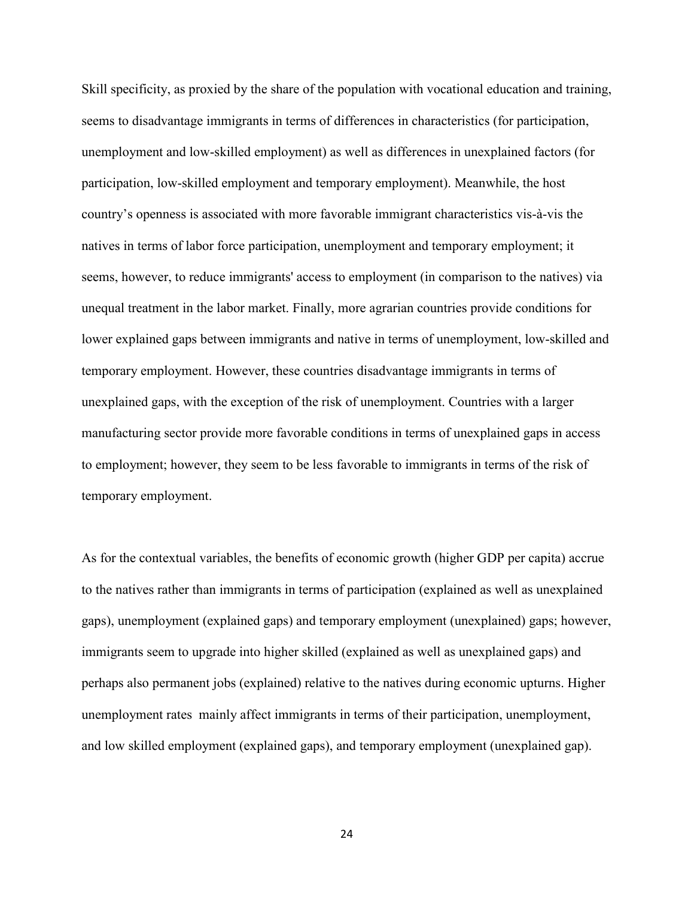Skill specificity, as proxied by the share of the population with vocational education and training, seems to disadvantage immigrants in terms of differences in characteristics (for participation, unemployment and low-skilled employment) as well as differences in unexplained factors (for participation, low-skilled employment and temporary employment). Meanwhile, the host country's openness is associated with more favorable immigrant characteristics vis-à-vis the natives in terms of labor force participation, unemployment and temporary employment; it seems, however, to reduce immigrants' access to employment (in comparison to the natives) via unequal treatment in the labor market. Finally, more agrarian countries provide conditions for lower explained gaps between immigrants and native in terms of unemployment, low-skilled and temporary employment. However, these countries disadvantage immigrants in terms of unexplained gaps, with the exception of the risk of unemployment. Countries with a larger manufacturing sector provide more favorable conditions in terms of unexplained gaps in access to employment; however, they seem to be less favorable to immigrants in terms of the risk of temporary employment.

As for the contextual variables, the benefits of economic growth (higher GDP per capita) accrue to the natives rather than immigrants in terms of participation (explained as well as unexplained gaps), unemployment (explained gaps) and temporary employment (unexplained) gaps; however, immigrants seem to upgrade into higher skilled (explained as well as unexplained gaps) and perhaps also permanent jobs (explained) relative to the natives during economic upturns. Higher unemployment rates mainly affect immigrants in terms of their participation, unemployment, and low skilled employment (explained gaps), and temporary employment (unexplained gap).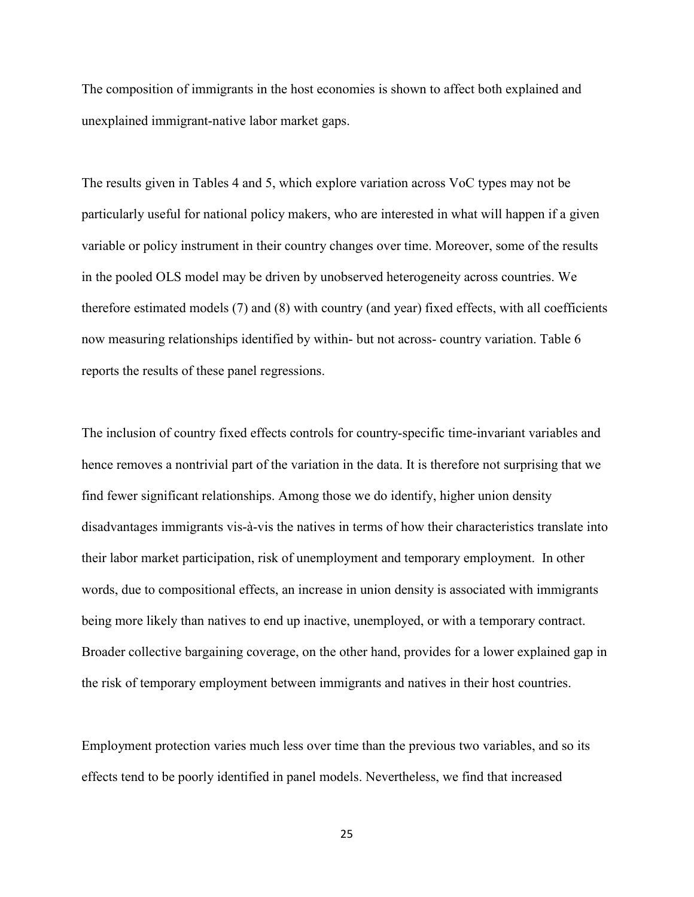The composition of immigrants in the host economies is shown to affect both explained and unexplained immigrant-native labor market gaps.

The results given in Tables 4 and 5, which explore variation across VoC types may not be particularly useful for national policy makers, who are interested in what will happen if a given variable or policy instrument in their country changes over time. Moreover, some of the results in the pooled OLS model may be driven by unobserved heterogeneity across countries. We therefore estimated models (7) and (8) with country (and year) fixed effects, with all coefficients now measuring relationships identified by within- but not across- country variation. Table 6 reports the results of these panel regressions.

The inclusion of country fixed effects controls for country-specific time-invariant variables and hence removes a nontrivial part of the variation in the data. It is therefore not surprising that we find fewer significant relationships. Among those we do identify, higher union density disadvantages immigrants vis-à-vis the natives in terms of how their characteristics translate into their labor market participation, risk of unemployment and temporary employment. In other words, due to compositional effects, an increase in union density is associated with immigrants being more likely than natives to end up inactive, unemployed, or with a temporary contract. Broader collective bargaining coverage, on the other hand, provides for a lower explained gap in the risk of temporary employment between immigrants and natives in their host countries.

Employment protection varies much less over time than the previous two variables, and so its effects tend to be poorly identified in panel models. Nevertheless, we find that increased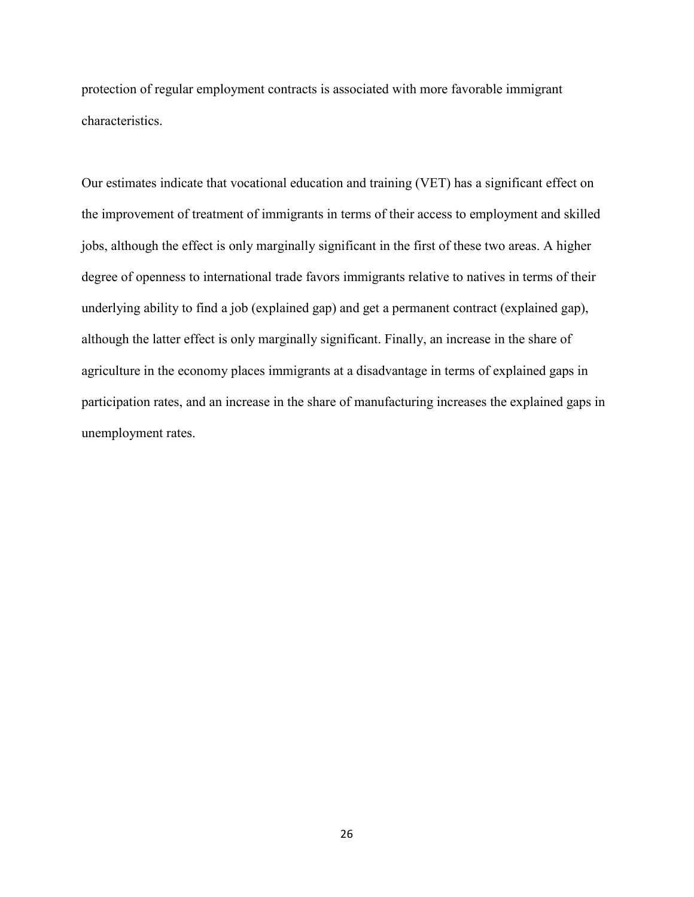protection of regular employment contracts is associated with more favorable immigrant characteristics.

Our estimates indicate that vocational education and training (VET) has a significant effect on the improvement of treatment of immigrants in terms of their access to employment and skilled jobs, although the effect is only marginally significant in the first of these two areas. A higher degree of openness to international trade favors immigrants relative to natives in terms of their underlying ability to find a job (explained gap) and get a permanent contract (explained gap), although the latter effect is only marginally significant. Finally, an increase in the share of agriculture in the economy places immigrants at a disadvantage in terms of explained gaps in participation rates, and an increase in the share of manufacturing increases the explained gaps in unemployment rates.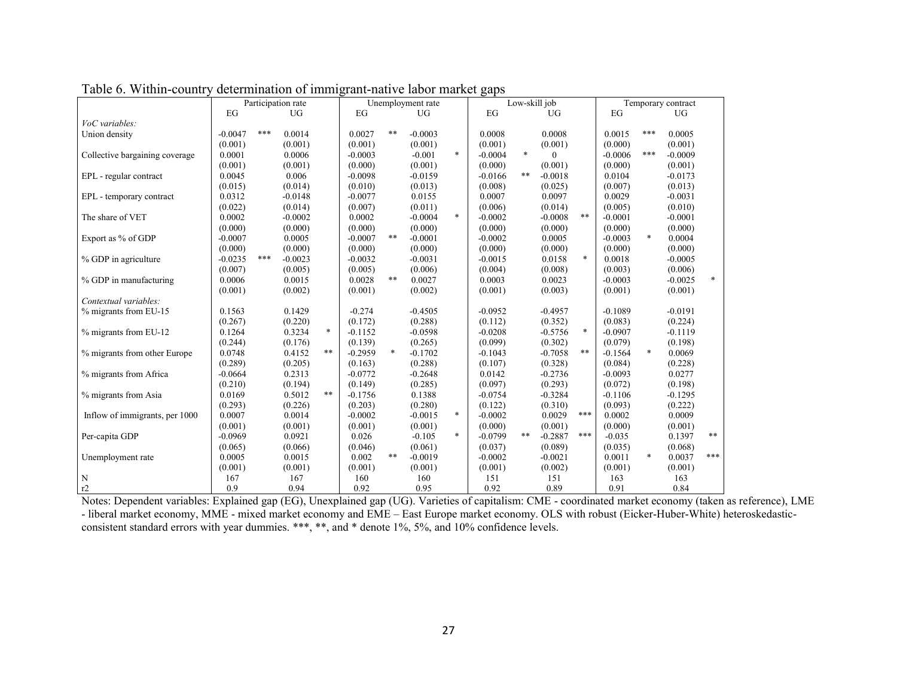|                                | Participation rate |     |           |            |           | Unemployment rate |           | Low-skill job |           | Temporary contract |              |        |           |        |           |        |
|--------------------------------|--------------------|-----|-----------|------------|-----------|-------------------|-----------|---------------|-----------|--------------------|--------------|--------|-----------|--------|-----------|--------|
|                                | EG                 |     | <b>UG</b> |            | EG        |                   | <b>UG</b> |               | EG        |                    | <b>UG</b>    |        | EG        |        | <b>UG</b> |        |
| VoC variables:                 |                    |     |           |            |           |                   |           |               |           |                    |              |        |           |        |           |        |
| Union density                  | $-0.0047$          | *** | 0.0014    |            | 0.0027    | $\ast\ast$        | $-0.0003$ |               | 0.0008    |                    | 0.0008       |        | 0.0015    | ***    | 0.0005    |        |
|                                | (0.001)            |     | (0.001)   |            | (0.001)   |                   | (0.001)   |               | (0.001)   |                    | (0.001)      |        | (0.000)   |        | (0.001)   |        |
| Collective bargaining coverage | 0.0001             |     | 0.0006    |            | $-0.0003$ |                   | $-0.001$  | *             | $-0.0004$ | $\ast$             | $\mathbf{0}$ |        | $-0.0006$ | ***    | $-0.0009$ |        |
|                                | (0.001)            |     | (0.001)   |            | (0.000)   |                   | (0.001)   |               | (0.000)   |                    | (0.001)      |        | (0.000)   |        | (0.001)   |        |
| EPL - regular contract         | 0.0045             |     | 0.006     |            | $-0.0098$ |                   | $-0.0159$ |               | $-0.0166$ | $***$              | $-0.0018$    |        | 0.0104    |        | $-0.0173$ |        |
|                                | (0.015)            |     | (0.014)   |            | (0.010)   |                   | (0.013)   |               | (0.008)   |                    | (0.025)      |        | (0.007)   |        | (0.013)   |        |
| EPL - temporary contract       | 0.0312             |     | $-0.0148$ |            | $-0.0077$ |                   | 0.0155    |               | 0.0007    |                    | 0.0097       |        | 0.0029    |        | $-0.0031$ |        |
|                                | (0.022)            |     | (0.014)   |            | (0.007)   |                   | (0.011)   |               | (0.006)   |                    | (0.014)      |        | (0.005)   |        | (0.010)   |        |
| The share of VET               | 0.0002             |     | $-0.0002$ |            | 0.0002    |                   | $-0.0004$ | $\ast$        | $-0.0002$ |                    | $-0.0008$    | $***$  | $-0.0001$ |        | $-0.0001$ |        |
|                                | (0.000)            |     | (0.000)   |            | (0.000)   |                   | (0.000)   |               | (0.000)   |                    | (0.000)      |        | (0.000)   |        | (0.000)   |        |
| Export as % of GDP             | $-0.0007$          |     | 0.0005    |            | $-0.0007$ | $\ast\ast$        | $-0.0001$ |               | $-0.0002$ |                    | 0.0005       |        | $-0.0003$ | $\ast$ | 0.0004    |        |
|                                | (0.000)            |     | (0.000)   |            | (0.000)   |                   | (0.000)   |               | (0.000)   |                    | (0.000)      |        | (0.000)   |        | (0.000)   |        |
| % GDP in agriculture           | $-0.0235$          | *** | $-0.0023$ |            | $-0.0032$ |                   | $-0.0031$ |               | $-0.0015$ |                    | 0.0158       | $\ast$ | 0.0018    |        | $-0.0005$ |        |
|                                | (0.007)            |     | (0.005)   |            | (0.005)   |                   | (0.006)   |               | (0.004)   |                    | (0.008)      |        | (0.003)   |        | (0.006)   |        |
| % GDP in manufacturing         | 0.0006             |     | 0.0015    |            | 0.0028    | $***$             | 0.0027    |               | 0.0003    |                    | 0.0023       |        | $-0.0003$ |        | $-0.0025$ | $\ast$ |
|                                | (0.001)            |     | (0.002)   |            | (0.001)   |                   | (0.002)   |               | (0.001)   |                    | (0.003)      |        | (0.001)   |        | (0.001)   |        |
| Contextual variables:          |                    |     |           |            |           |                   |           |               |           |                    |              |        |           |        |           |        |
| % migrants from EU-15          | 0.1563             |     | 0.1429    |            | $-0.274$  |                   | $-0.4505$ |               | $-0.0952$ |                    | $-0.4957$    |        | $-0.1089$ |        | $-0.0191$ |        |
|                                | (0.267)            |     | (0.220)   |            | (0.172)   |                   | (0.288)   |               | (0.112)   |                    | (0.352)      |        | (0.083)   |        | (0.224)   |        |
| % migrants from EU-12          | 0.1264             |     | 0.3234    | $\ast$     | $-0.1152$ |                   | $-0.0598$ |               | $-0.0208$ |                    | $-0.5756$    | $\ast$ | $-0.0907$ |        | $-0.1119$ |        |
|                                | (0.244)            |     | (0.176)   |            | (0.139)   |                   | (0.265)   |               | (0.099)   |                    | (0.302)      |        | (0.079)   |        | (0.198)   |        |
| % migrants from other Europe   | 0.0748             |     | 0.4152    | $\ast\ast$ | $-0.2959$ | $\ast$            | $-0.1702$ |               | $-0.1043$ |                    | $-0.7058$    | $***$  | $-0.1564$ | $\ast$ | 0.0069    |        |
|                                | (0.289)            |     | (0.205)   |            | (0.163)   |                   | (0.288)   |               | (0.107)   |                    | (0.328)      |        | (0.084)   |        | (0.228)   |        |
| % migrants from Africa         | $-0.0664$          |     | 0.2313    |            | $-0.0772$ |                   | $-0.2648$ |               | 0.0142    |                    | $-0.2736$    |        | $-0.0093$ |        | 0.0277    |        |
|                                | (0.210)            |     | (0.194)   |            | (0.149)   |                   | (0.285)   |               | (0.097)   |                    | (0.293)      |        | (0.072)   |        | (0.198)   |        |
| % migrants from Asia           | 0.0169             |     | 0.5012    | $\ast\ast$ | $-0.1756$ |                   | 0.1388    |               | $-0.0754$ |                    | $-0.3284$    |        | $-0.1106$ |        | $-0.1295$ |        |
|                                | (0.293)            |     | (0.226)   |            | (0.203)   |                   | (0.280)   |               | (0.122)   |                    | (0.310)      |        | (0.093)   |        | (0.222)   |        |
| Inflow of immigrants, per 1000 | 0.0007             |     | 0.0014    |            | $-0.0002$ |                   | $-0.0015$ | $\ast$        | $-0.0002$ |                    | 0.0029       | ***    | 0.0002    |        | 0.0009    |        |
|                                | (0.001)            |     | (0.001)   |            | (0.001)   |                   | (0.001)   |               | (0.000)   |                    | (0.001)      |        | (0.000)   |        | (0.001)   |        |
| Per-capita GDP                 | $-0.0969$          |     | 0.0921    |            | 0.026     |                   | $-0.105$  | $\ast$        | $-0.0799$ | $***$              | $-0.2887$    | ***    | $-0.035$  |        | 0.1397    | $***$  |
|                                | (0.065)            |     | (0.066)   |            | (0.046)   |                   | (0.061)   |               | (0.037)   |                    | (0.089)      |        | (0.035)   |        | (0.068)   |        |
| Unemployment rate              | 0.0005             |     | 0.0015    |            | 0.002     | $***$             | $-0.0019$ |               | $-0.0002$ |                    | $-0.0021$    |        | 0.0011    | $\ast$ | 0.0037    | ***    |
|                                | (0.001)            |     | (0.001)   |            | (0.001)   |                   | (0.001)   |               | (0.001)   |                    | (0.002)      |        | (0.001)   |        | (0.001)   |        |
| N                              | 167                |     | 167       |            | 160       |                   | 160       |               | 151       |                    | 151          |        | 163       |        | 163       |        |
| r2                             | 0.9                |     | 0.94      |            | 0.92      |                   | 0.95      |               | 0.92      |                    | 0.89         |        | 0.91      |        | 0.84      |        |
|                                |                    |     |           |            |           |                   |           |               |           |                    |              |        |           |        |           |        |

Table 6. Within-country determination of immigrant-native labor market gaps

Notes: Dependent variables: Explained gap (EG), Unexplained gap (UG). Varieties of capitalism: CME - coordinated market economy (taken as reference), LME - liberal market economy, MME - mixed market economy and EME – East Europe market economy. OLS with robust (Eicker-Huber-White) heteroskedasticconsistent standard errors with year dummies. \*\*\*, \*\*, and \* denote 1%, 5%, and 10% confidence levels.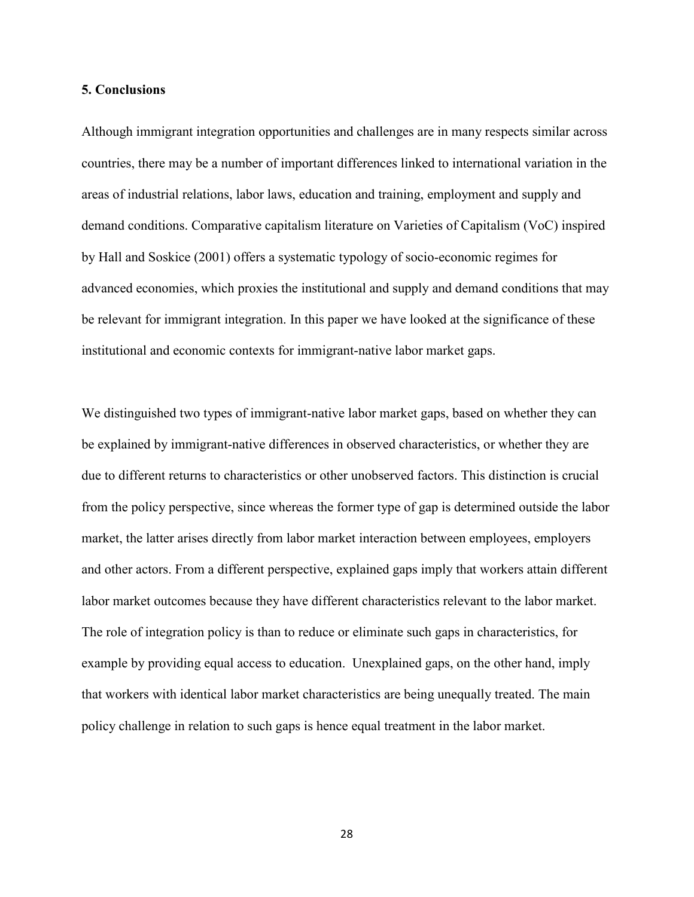#### **5. Conclusions**

Although immigrant integration opportunities and challenges are in many respects similar across countries, there may be a number of important differences linked to international variation in the areas of industrial relations, labor laws, education and training, employment and supply and demand conditions. Comparative capitalism literature on Varieties of Capitalism (VoC) inspired by Hall and Soskice (2001) offers a systematic typology of socio-economic regimes for advanced economies, which proxies the institutional and supply and demand conditions that may be relevant for immigrant integration. In this paper we have looked at the significance of these institutional and economic contexts for immigrant-native labor market gaps.

We distinguished two types of immigrant-native labor market gaps, based on whether they can be explained by immigrant-native differences in observed characteristics, or whether they are due to different returns to characteristics or other unobserved factors. This distinction is crucial from the policy perspective, since whereas the former type of gap is determined outside the labor market, the latter arises directly from labor market interaction between employees, employers and other actors. From a different perspective, explained gaps imply that workers attain different labor market outcomes because they have different characteristics relevant to the labor market. The role of integration policy is than to reduce or eliminate such gaps in characteristics, for example by providing equal access to education. Unexplained gaps, on the other hand, imply that workers with identical labor market characteristics are being unequally treated. The main policy challenge in relation to such gaps is hence equal treatment in the labor market.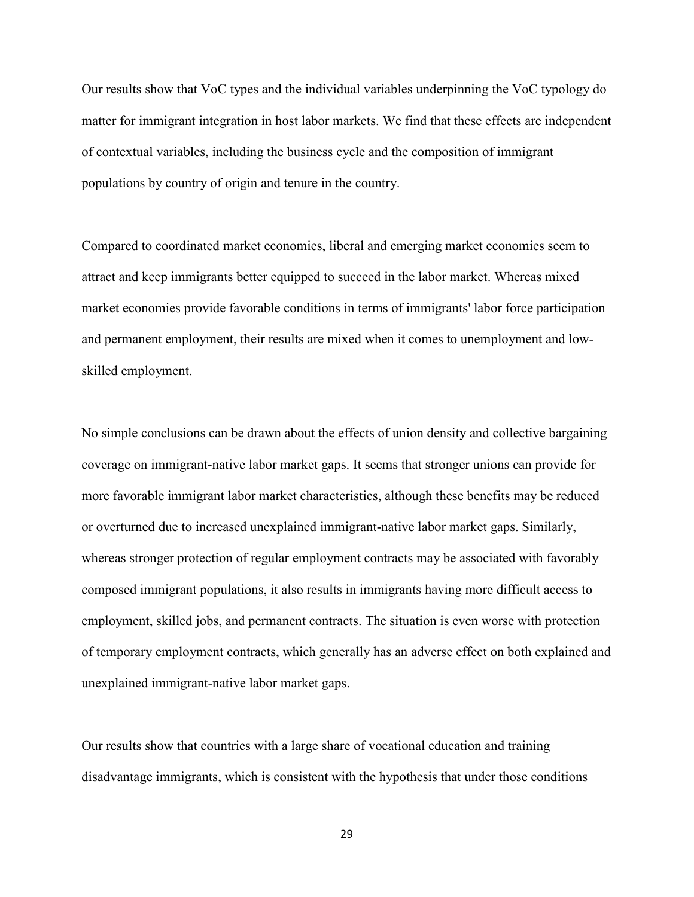Our results show that VoC types and the individual variables underpinning the VoC typology do matter for immigrant integration in host labor markets. We find that these effects are independent of contextual variables, including the business cycle and the composition of immigrant populations by country of origin and tenure in the country.

Compared to coordinated market economies, liberal and emerging market economies seem to attract and keep immigrants better equipped to succeed in the labor market. Whereas mixed market economies provide favorable conditions in terms of immigrants' labor force participation and permanent employment, their results are mixed when it comes to unemployment and lowskilled employment.

No simple conclusions can be drawn about the effects of union density and collective bargaining coverage on immigrant-native labor market gaps. It seems that stronger unions can provide for more favorable immigrant labor market characteristics, although these benefits may be reduced or overturned due to increased unexplained immigrant-native labor market gaps. Similarly, whereas stronger protection of regular employment contracts may be associated with favorably composed immigrant populations, it also results in immigrants having more difficult access to employment, skilled jobs, and permanent contracts. The situation is even worse with protection of temporary employment contracts, which generally has an adverse effect on both explained and unexplained immigrant-native labor market gaps.

Our results show that countries with a large share of vocational education and training disadvantage immigrants, which is consistent with the hypothesis that under those conditions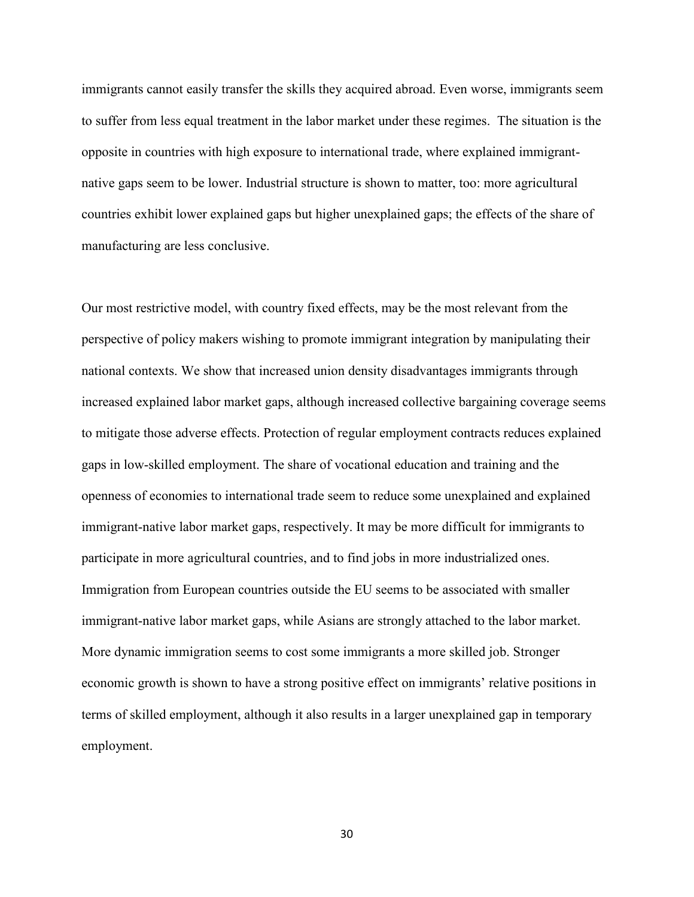immigrants cannot easily transfer the skills they acquired abroad. Even worse, immigrants seem to suffer from less equal treatment in the labor market under these regimes. The situation is the opposite in countries with high exposure to international trade, where explained immigrantnative gaps seem to be lower. Industrial structure is shown to matter, too: more agricultural countries exhibit lower explained gaps but higher unexplained gaps; the effects of the share of manufacturing are less conclusive.

Our most restrictive model, with country fixed effects, may be the most relevant from the perspective of policy makers wishing to promote immigrant integration by manipulating their national contexts. We show that increased union density disadvantages immigrants through increased explained labor market gaps, although increased collective bargaining coverage seems to mitigate those adverse effects. Protection of regular employment contracts reduces explained gaps in low-skilled employment. The share of vocational education and training and the openness of economies to international trade seem to reduce some unexplained and explained immigrant-native labor market gaps, respectively. It may be more difficult for immigrants to participate in more agricultural countries, and to find jobs in more industrialized ones. Immigration from European countries outside the EU seems to be associated with smaller immigrant-native labor market gaps, while Asians are strongly attached to the labor market. More dynamic immigration seems to cost some immigrants a more skilled job. Stronger economic growth is shown to have a strong positive effect on immigrants' relative positions in terms of skilled employment, although it also results in a larger unexplained gap in temporary employment.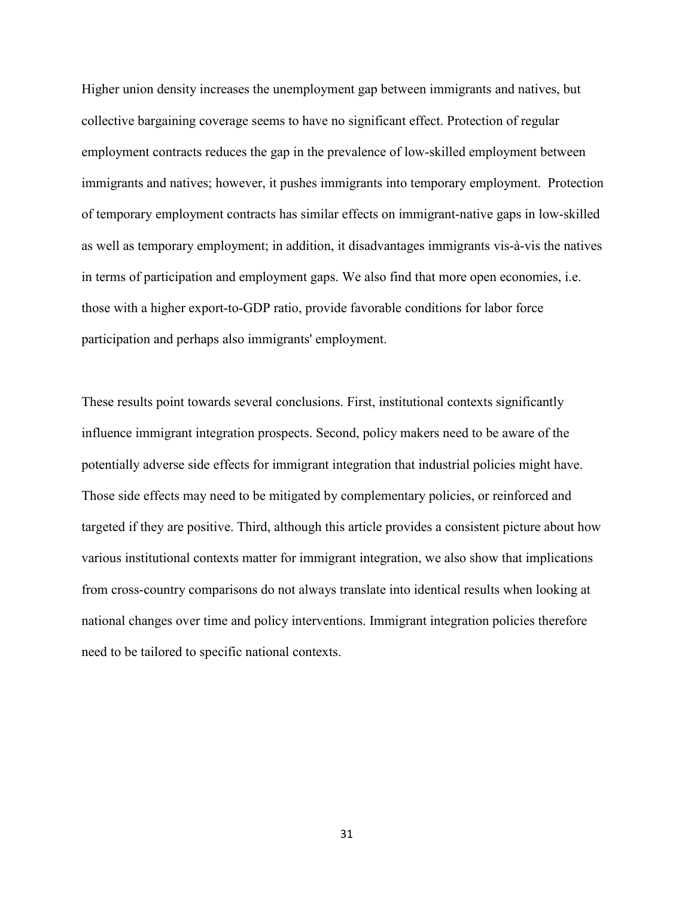Higher union density increases the unemployment gap between immigrants and natives, but collective bargaining coverage seems to have no significant effect. Protection of regular employment contracts reduces the gap in the prevalence of low-skilled employment between immigrants and natives; however, it pushes immigrants into temporary employment. Protection of temporary employment contracts has similar effects on immigrant-native gaps in low-skilled as well as temporary employment; in addition, it disadvantages immigrants vis-à-vis the natives in terms of participation and employment gaps. We also find that more open economies, i.e. those with a higher export-to-GDP ratio, provide favorable conditions for labor force participation and perhaps also immigrants' employment.

These results point towards several conclusions. First, institutional contexts significantly influence immigrant integration prospects. Second, policy makers need to be aware of the potentially adverse side effects for immigrant integration that industrial policies might have. Those side effects may need to be mitigated by complementary policies, or reinforced and targeted if they are positive. Third, although this article provides a consistent picture about how various institutional contexts matter for immigrant integration, we also show that implications from cross-country comparisons do not always translate into identical results when looking at national changes over time and policy interventions. Immigrant integration policies therefore need to be tailored to specific national contexts.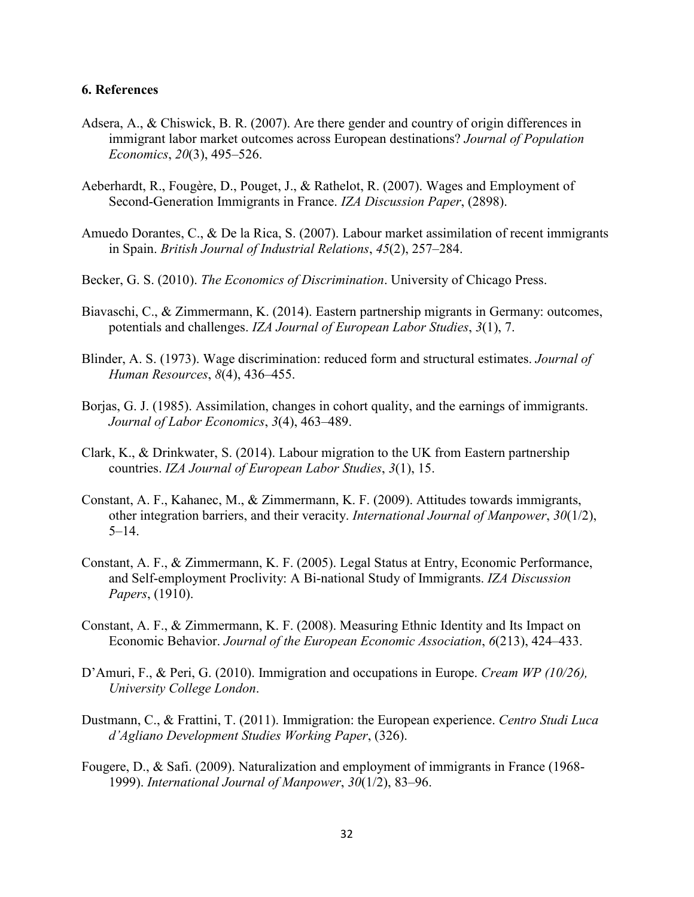#### **6. References**

- Adsera, A., & Chiswick, B. R. (2007). Are there gender and country of origin differences in immigrant labor market outcomes across European destinations? *Journal of Population Economics*, *20*(3), 495–526.
- Aeberhardt, R., Fougère, D., Pouget, J., & Rathelot, R. (2007). Wages and Employment of Second-Generation Immigrants in France. *IZA Discussion Paper*, (2898).
- Amuedo Dorantes, C., & De la Rica, S. (2007). Labour market assimilation of recent immigrants in Spain. *British Journal of Industrial Relations*, *45*(2), 257–284.
- Becker, G. S. (2010). *The Economics of Discrimination*. University of Chicago Press.
- Biavaschi, C., & Zimmermann, K. (2014). Eastern partnership migrants in Germany: outcomes, potentials and challenges. *IZA Journal of European Labor Studies*, *3*(1), 7.
- Blinder, A. S. (1973). Wage discrimination: reduced form and structural estimates. *Journal of Human Resources*, *8*(4), 436–455.
- Borjas, G. J. (1985). Assimilation, changes in cohort quality, and the earnings of immigrants. *Journal of Labor Economics*, *3*(4), 463–489.
- Clark, K., & Drinkwater, S. (2014). Labour migration to the UK from Eastern partnership countries. *IZA Journal of European Labor Studies*, *3*(1), 15.
- Constant, A. F., Kahanec, M., & Zimmermann, K. F. (2009). Attitudes towards immigrants, other integration barriers, and their veracity. *International Journal of Manpower*, *30*(1/2), 5–14.
- Constant, A. F., & Zimmermann, K. F. (2005). Legal Status at Entry, Economic Performance, and Self-employment Proclivity: A Bi-national Study of Immigrants. *IZA Discussion Papers*, (1910).
- Constant, A. F., & Zimmermann, K. F. (2008). Measuring Ethnic Identity and Its Impact on Economic Behavior. *Journal of the European Economic Association*, *6*(213), 424–433.
- D'Amuri, F., & Peri, G. (2010). Immigration and occupations in Europe. *Cream WP (10/26), University College London*.
- Dustmann, C., & Frattini, T. (2011). Immigration: the European experience. *Centro Studi Luca d'Agliano Development Studies Working Paper*, (326).
- Fougere, D., & Safi. (2009). Naturalization and employment of immigrants in France (1968- 1999). *International Journal of Manpower*, *30*(1/2), 83–96.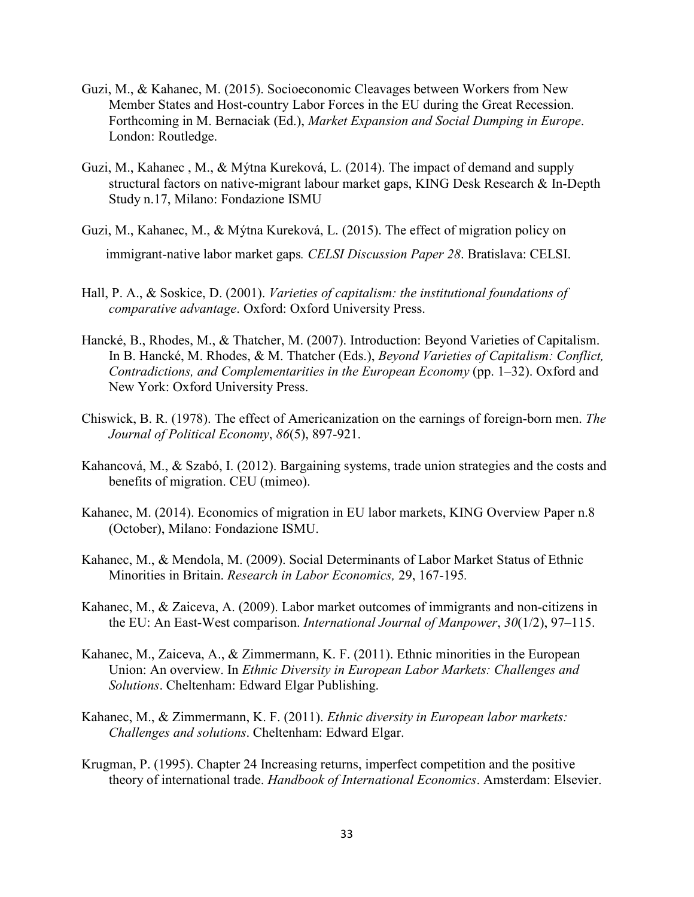- Guzi, M., & Kahanec, M. (2015). Socioeconomic Cleavages between Workers from New Member States and Host-country Labor Forces in the EU during the Great Recession. Forthcoming in M. Bernaciak (Ed.), *Market Expansion and Social Dumping in Europe*. London: Routledge.
- Guzi, M., Kahanec , M., & Mýtna Kureková, L. (2014). The impact of demand and supply structural factors on native-migrant labour market gaps, KING Desk Research & In-Depth Study n.17, Milano: Fondazione ISMU
- Guzi, M., Kahanec, M., & Mýtna Kureková, L. (2015). The effect of migration policy on immigrant-native labor market gaps*. CELSI Discussion Paper 28*. Bratislava: CELSI.
- Hall, P. A., & Soskice, D. (2001). *Varieties of capitalism: the institutional foundations of comparative advantage*. Oxford: Oxford University Press.
- Hancké, B., Rhodes, M., & Thatcher, M. (2007). Introduction: Beyond Varieties of Capitalism. In B. Hancké, M. Rhodes, & M. Thatcher (Eds.), *Beyond Varieties of Capitalism: Conflict, Contradictions, and Complementarities in the European Economy* (pp. 1–32). Oxford and New York: Oxford University Press.
- Chiswick, B. R. (1978). The effect of Americanization on the earnings of foreign-born men. *The Journal of Political Economy*, *86*(5), 897-921.
- Kahancová, M., & Szabó, I. (2012). Bargaining systems, trade union strategies and the costs and benefits of migration. CEU (mimeo).
- Kahanec, M. (2014). Economics of migration in EU labor markets, KING Overview Paper n.8 (October), Milano: Fondazione ISMU.
- Kahanec, M., & Mendola, M. (2009). Social Determinants of Labor Market Status of Ethnic Minorities in Britain. *Research in Labor Economics,* 29, 167-195*.*
- Kahanec, M., & Zaiceva, A. (2009). Labor market outcomes of immigrants and non-citizens in the EU: An East-West comparison. *International Journal of Manpower*, *30*(1/2), 97–115.
- Kahanec, M., Zaiceva, A., & Zimmermann, K. F. (2011). Ethnic minorities in the European Union: An overview. In *Ethnic Diversity in European Labor Markets: Challenges and Solutions*. Cheltenham: Edward Elgar Publishing.
- Kahanec, M., & Zimmermann, K. F. (2011). *Ethnic diversity in European labor markets: Challenges and solutions*. Cheltenham: Edward Elgar.
- Krugman, P. (1995). Chapter 24 Increasing returns, imperfect competition and the positive theory of international trade. *Handbook of International Economics*. Amsterdam: Elsevier.